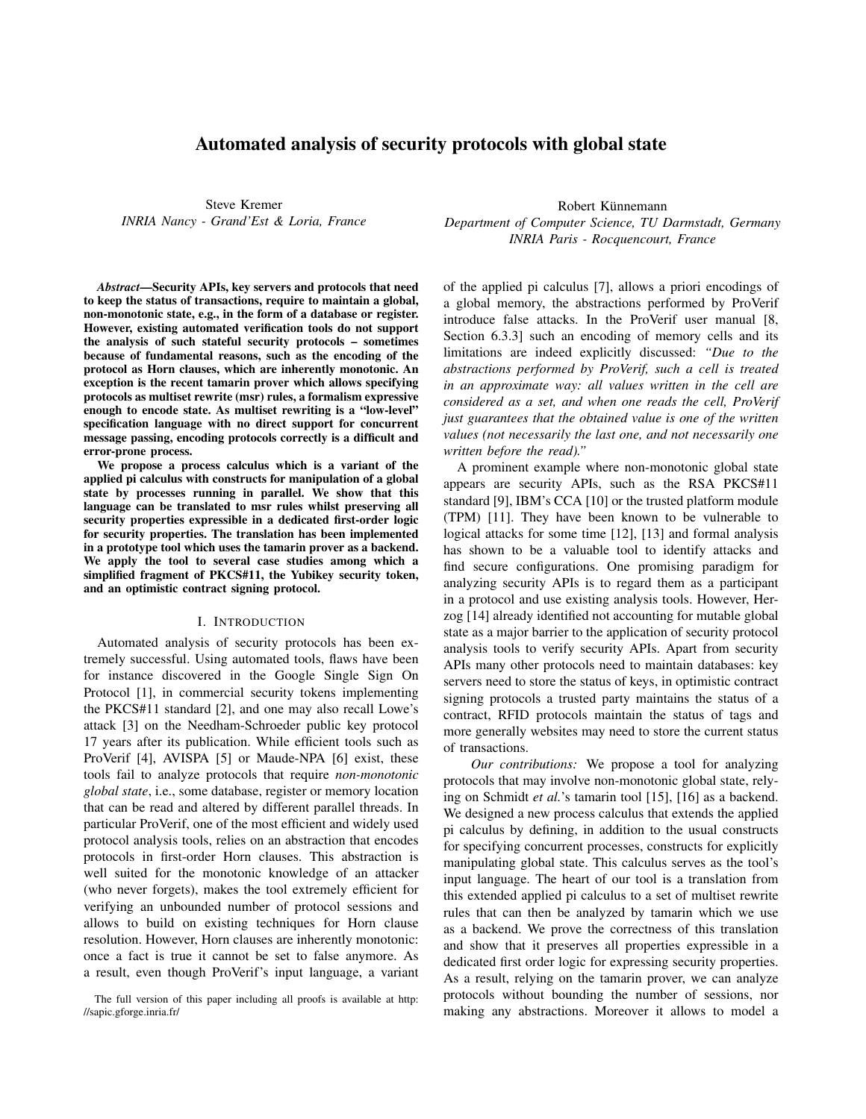# Automated analysis of security protocols with global state

Steve Kremer *INRIA Nancy - Grand'Est & Loria, France*

*Abstract*—Security APIs, key servers and protocols that need to keep the status of transactions, require to maintain a global, non-monotonic state, e.g., in the form of a database or register. However, existing automated verification tools do not support the analysis of such stateful security protocols – sometimes because of fundamental reasons, such as the encoding of the protocol as Horn clauses, which are inherently monotonic. An exception is the recent tamarin prover which allows specifying protocols as multiset rewrite (msr) rules, a formalism expressive enough to encode state. As multiset rewriting is a "low-level" specification language with no direct support for concurrent message passing, encoding protocols correctly is a difficult and error-prone process.

We propose a process calculus which is a variant of the applied pi calculus with constructs for manipulation of a global state by processes running in parallel. We show that this language can be translated to msr rules whilst preserving all security properties expressible in a dedicated first-order logic for security properties. The translation has been implemented in a prototype tool which uses the tamarin prover as a backend. We apply the tool to several case studies among which a simplified fragment of PKCS#11, the Yubikey security token, and an optimistic contract signing protocol.

#### I. INTRODUCTION

Automated analysis of security protocols has been extremely successful. Using automated tools, flaws have been for instance discovered in the Google Single Sign On Protocol [1], in commercial security tokens implementing the PKCS#11 standard [2], and one may also recall Lowe's attack [3] on the Needham-Schroeder public key protocol 17 years after its publication. While efficient tools such as ProVerif [4], AVISPA [5] or Maude-NPA [6] exist, these tools fail to analyze protocols that require *non-monotonic global state*, i.e., some database, register or memory location that can be read and altered by different parallel threads. In particular ProVerif, one of the most efficient and widely used protocol analysis tools, relies on an abstraction that encodes protocols in first-order Horn clauses. This abstraction is well suited for the monotonic knowledge of an attacker (who never forgets), makes the tool extremely efficient for verifying an unbounded number of protocol sessions and allows to build on existing techniques for Horn clause resolution. However, Horn clauses are inherently monotonic: once a fact is true it cannot be set to false anymore. As a result, even though ProVerif's input language, a variant

Robert Künnemann *Department of Computer Science, TU Darmstadt, Germany INRIA Paris - Rocquencourt, France*

of the applied pi calculus [7], allows a priori encodings of a global memory, the abstractions performed by ProVerif introduce false attacks. In the ProVerif user manual [8, Section 6.3.3] such an encoding of memory cells and its limitations are indeed explicitly discussed: *"Due to the abstractions performed by ProVerif, such a cell is treated in an approximate way: all values written in the cell are considered as a set, and when one reads the cell, ProVerif just guarantees that the obtained value is one of the written values (not necessarily the last one, and not necessarily one written before the read)."*

A prominent example where non-monotonic global state appears are security APIs, such as the RSA PKCS#11 standard [9], IBM's CCA [10] or the trusted platform module (TPM) [11]. They have been known to be vulnerable to logical attacks for some time [12], [13] and formal analysis has shown to be a valuable tool to identify attacks and find secure configurations. One promising paradigm for analyzing security APIs is to regard them as a participant in a protocol and use existing analysis tools. However, Herzog [14] already identified not accounting for mutable global state as a major barrier to the application of security protocol analysis tools to verify security APIs. Apart from security APIs many other protocols need to maintain databases: key servers need to store the status of keys, in optimistic contract signing protocols a trusted party maintains the status of a contract, RFID protocols maintain the status of tags and more generally websites may need to store the current status of transactions.

*Our contributions:* We propose a tool for analyzing protocols that may involve non-monotonic global state, relying on Schmidt *et al.*'s tamarin tool [15], [16] as a backend. We designed a new process calculus that extends the applied pi calculus by defining, in addition to the usual constructs for specifying concurrent processes, constructs for explicitly manipulating global state. This calculus serves as the tool's input language. The heart of our tool is a translation from this extended applied pi calculus to a set of multiset rewrite rules that can then be analyzed by tamarin which we use as a backend. We prove the correctness of this translation and show that it preserves all properties expressible in a dedicated first order logic for expressing security properties. As a result, relying on the tamarin prover, we can analyze protocols without bounding the number of sessions, nor making any abstractions. Moreover it allows to model a

The full version of this paper including all proofs is available at http: //sapic.gforge.inria.fr/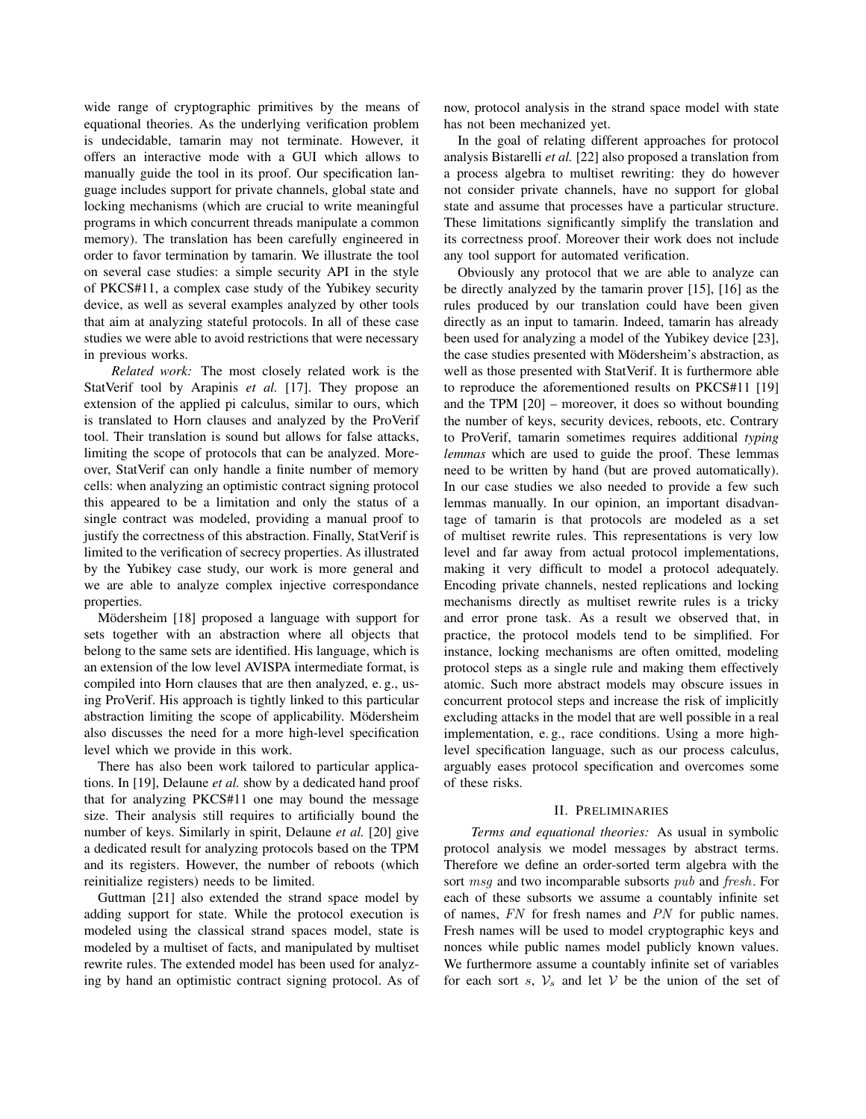wide range of cryptographic primitives by the means of equational theories. As the underlying verification problem is undecidable, tamarin may not terminate. However, it offers an interactive mode with a GUI which allows to manually guide the tool in its proof. Our specification language includes support for private channels, global state and locking mechanisms (which are crucial to write meaningful programs in which concurrent threads manipulate a common memory). The translation has been carefully engineered in order to favor termination by tamarin. We illustrate the tool on several case studies: a simple security API in the style of PKCS#11, a complex case study of the Yubikey security device, as well as several examples analyzed by other tools that aim at analyzing stateful protocols. In all of these case studies we were able to avoid restrictions that were necessary in previous works.

*Related work:* The most closely related work is the StatVerif tool by Arapinis *et al.* [17]. They propose an extension of the applied pi calculus, similar to ours, which is translated to Horn clauses and analyzed by the ProVerif tool. Their translation is sound but allows for false attacks, limiting the scope of protocols that can be analyzed. Moreover, StatVerif can only handle a finite number of memory cells: when analyzing an optimistic contract signing protocol this appeared to be a limitation and only the status of a single contract was modeled, providing a manual proof to justify the correctness of this abstraction. Finally, StatVerif is limited to the verification of secrecy properties. As illustrated by the Yubikey case study, our work is more general and we are able to analyze complex injective correspondance properties.

Mödersheim [18] proposed a language with support for sets together with an abstraction where all objects that belong to the same sets are identified. His language, which is an extension of the low level AVISPA intermediate format, is compiled into Horn clauses that are then analyzed, e. g., using ProVerif. His approach is tightly linked to this particular abstraction limiting the scope of applicability. Mödersheim also discusses the need for a more high-level specification level which we provide in this work.

There has also been work tailored to particular applications. In [19], Delaune *et al.* show by a dedicated hand proof that for analyzing PKCS#11 one may bound the message size. Their analysis still requires to artificially bound the number of keys. Similarly in spirit, Delaune *et al.* [20] give a dedicated result for analyzing protocols based on the TPM and its registers. However, the number of reboots (which reinitialize registers) needs to be limited.

Guttman [21] also extended the strand space model by adding support for state. While the protocol execution is modeled using the classical strand spaces model, state is modeled by a multiset of facts, and manipulated by multiset rewrite rules. The extended model has been used for analyzing by hand an optimistic contract signing protocol. As of

now, protocol analysis in the strand space model with state has not been mechanized yet.

In the goal of relating different approaches for protocol analysis Bistarelli *et al.* [22] also proposed a translation from a process algebra to multiset rewriting: they do however not consider private channels, have no support for global state and assume that processes have a particular structure. These limitations significantly simplify the translation and its correctness proof. Moreover their work does not include any tool support for automated verification.

Obviously any protocol that we are able to analyze can be directly analyzed by the tamarin prover [15], [16] as the rules produced by our translation could have been given directly as an input to tamarin. Indeed, tamarin has already been used for analyzing a model of the Yubikey device [23], the case studies presented with Mödersheim's abstraction, as well as those presented with StatVerif. It is furthermore able to reproduce the aforementioned results on PKCS#11 [19] and the TPM [20] – moreover, it does so without bounding the number of keys, security devices, reboots, etc. Contrary to ProVerif, tamarin sometimes requires additional *typing lemmas* which are used to guide the proof. These lemmas need to be written by hand (but are proved automatically). In our case studies we also needed to provide a few such lemmas manually. In our opinion, an important disadvantage of tamarin is that protocols are modeled as a set of multiset rewrite rules. This representations is very low level and far away from actual protocol implementations, making it very difficult to model a protocol adequately. Encoding private channels, nested replications and locking mechanisms directly as multiset rewrite rules is a tricky and error prone task. As a result we observed that, in practice, the protocol models tend to be simplified. For instance, locking mechanisms are often omitted, modeling protocol steps as a single rule and making them effectively atomic. Such more abstract models may obscure issues in concurrent protocol steps and increase the risk of implicitly excluding attacks in the model that are well possible in a real implementation, e. g., race conditions. Using a more highlevel specification language, such as our process calculus, arguably eases protocol specification and overcomes some of these risks.

# II. PRELIMINARIES

*Terms and equational theories:* As usual in symbolic protocol analysis we model messages by abstract terms. Therefore we define an order-sorted term algebra with the sort msg and two incomparable subsorts pub and fresh. For each of these subsorts we assume a countably infinite set of names, FN for fresh names and PN for public names. Fresh names will be used to model cryptographic keys and nonces while public names model publicly known values. We furthermore assume a countably infinite set of variables for each sort s,  $V_s$  and let V be the union of the set of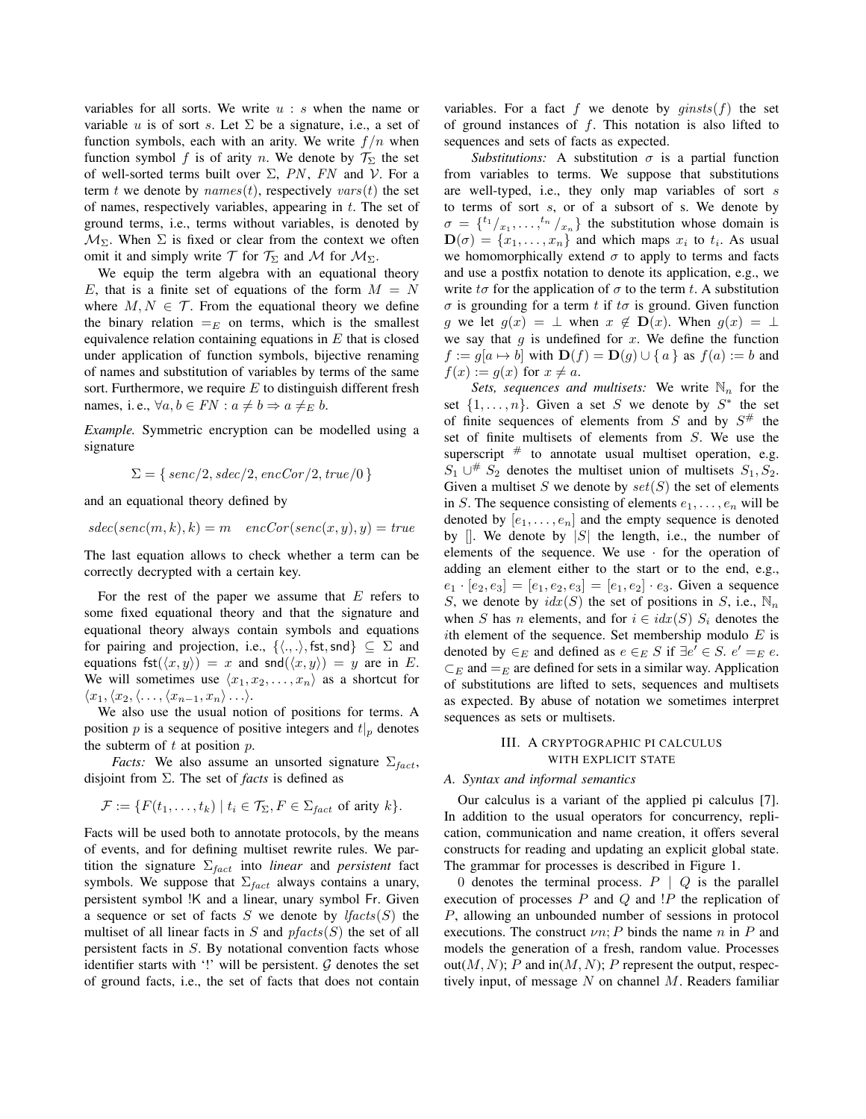variables for all sorts. We write  $u : s$  when the name or variable u is of sort s. Let  $\Sigma$  be a signature, i.e., a set of function symbols, each with an arity. We write  $f/n$  when function symbol f is of arity n. We denote by  $\mathcal{T}_{\Sigma}$  the set of well-sorted terms built over  $\Sigma$ , PN, FN and V. For a term t we denote by  $names(t)$ , respectively  $vars(t)$  the set of names, respectively variables, appearing in  $t$ . The set of ground terms, i.e., terms without variables, is denoted by  $M_{\Sigma}$ . When  $\Sigma$  is fixed or clear from the context we often omit it and simply write  $\mathcal T$  for  $\mathcal T_\Sigma$  and  $\mathcal M$  for  $\mathcal M_\Sigma$ .

We equip the term algebra with an equational theory E, that is a finite set of equations of the form  $M = N$ where  $M, N \in \mathcal{T}$ . From the equational theory we define the binary relation  $=_E$  on terms, which is the smallest equivalence relation containing equations in  $E$  that is closed under application of function symbols, bijective renaming of names and substitution of variables by terms of the same sort. Furthermore, we require  $E$  to distinguish different fresh names, i.e.,  $\forall a, b \in FN : a \neq b \Rightarrow a \neq_{E} b$ .

*Example.* Symmetric encryption can be modelled using a signature

$$
\Sigma = \{ \, \text{senc}/2, \text{sdec}/2, \text{encCor}/2, \text{true}/0 \, \}
$$

and an equational theory defined by

 $sdec(senc(m, k), k) = m$   $encCor(senc(x, y), y) = true$ 

The last equation allows to check whether a term can be correctly decrypted with a certain key.

For the rest of the paper we assume that  $E$  refers to some fixed equational theory and that the signature and equational theory always contain symbols and equations for pairing and projection, i.e.,  $\{\langle .,.\rangle, \text{fst}, \text{snd}\}\subseteq \Sigma$  and equations fst $(\langle x, y \rangle) = x$  and snd $(\langle x, y \rangle) = y$  are in E. We will sometimes use  $\langle x_1, x_2, \ldots, x_n \rangle$  as a shortcut for  $\langle x_1,\langle x_2,\langle \ldots,\langle x_{n-1}, x_n\rangle \ldots\rangle$ .

We also use the usual notion of positions for terms. A position p is a sequence of positive integers and  $t|_p$  denotes the subterm of  $t$  at position  $p$ .

*Facts:* We also assume an unsorted signature  $\Sigma_{fact}$ , disjoint from Σ. The set of *facts* is defined as

$$
\mathcal{F} := \{ F(t_1, \ldots, t_k) \mid t_i \in \mathcal{T}_{\Sigma}, F \in \Sigma_{fact} \text{ of arity } k \}.
$$

Facts will be used both to annotate protocols, by the means of events, and for defining multiset rewrite rules. We partition the signature  $\Sigma_{fact}$  into *linear* and *persistent* fact symbols. We suppose that  $\Sigma_{fact}$  always contains a unary, persistent symbol !K and a linear, unary symbol Fr. Given a sequence or set of facts  $S$  we denote by  $lfacts(S)$  the multiset of all linear facts in S and  $pfacts(S)$  the set of all persistent facts in S. By notational convention facts whose identifier starts with '!' will be persistent.  $G$  denotes the set of ground facts, i.e., the set of facts that does not contain variables. For a fact f we denote by  $qinsts(f)$  the set of ground instances of  $f$ . This notation is also lifted to sequences and sets of facts as expected.

*Substitutions:* A substitution  $\sigma$  is a partial function from variables to terms. We suppose that substitutions are well-typed, i.e., they only map variables of sort s to terms of sort s, or of a subsort of s. We denote by  $\sigma = \{t_1 / x_1, \ldots, t_n / x_n\}$  the substitution whose domain is  $\mathbf{D}(\sigma) = \{x_1, \ldots, x_n\}$  and which maps  $x_i$  to  $t_i$ . As usual we homomorphically extend  $\sigma$  to apply to terms and facts and use a postfix notation to denote its application, e.g., we write  $t\sigma$  for the application of  $\sigma$  to the term t. A substitution  $\sigma$  is grounding for a term t if t $\sigma$  is ground. Given function g we let  $g(x) = \perp$  when  $x \notin D(x)$ . When  $g(x) = \perp$ we say that q is undefined for x. We define the function  $f := g[a \mapsto b]$  with  $\mathbf{D}(f) = \mathbf{D}(g) \cup \{a\}$  as  $f(a) := b$  and  $f(x) := g(x)$  for  $x \neq a$ .

*Sets, sequences and multisets:* We write  $\mathbb{N}_n$  for the set  $\{1,\ldots,n\}$ . Given a set S we denote by  $S^*$  the set of finite sequences of elements from S and by  $S^{\#}$  the set of finite multisets of elements from S. We use the superscript  $#$  to annotate usual multiset operation, e.g.  $S_1 \cup^{\#} S_2$  denotes the multiset union of multisets  $S_1, S_2$ . Given a multiset S we denote by  $set(S)$  the set of elements in S. The sequence consisting of elements  $e_1, \ldots, e_n$  will be denoted by  $[e_1, \ldots, e_n]$  and the empty sequence is denoted by  $\parallel$ . We denote by  $\parallel S \parallel$  the length, i.e., the number of elements of the sequence. We use  $\cdot$  for the operation of adding an element either to the start or to the end, e.g.,  $e_1 \cdot [e_2, e_3] = [e_1, e_2, e_3] = [e_1, e_2] \cdot e_3$ . Given a sequence S, we denote by  $idx(S)$  the set of positions in S, i.e.,  $\mathbb{N}_n$ when S has n elements, and for  $i \in idx(S)$  S<sub>i</sub> denotes the ith element of the sequence. Set membership modulo  $E$  is denoted by  $\in_E$  and defined as  $e \in_E S$  if  $\exists e' \in S$ .  $e' =_E e$ .  $\subset_E$  and  $=_E$  are defined for sets in a similar way. Application of substitutions are lifted to sets, sequences and multisets as expected. By abuse of notation we sometimes interpret sequences as sets or multisets.

## III. A CRYPTOGRAPHIC PI CALCULUS WITH EXPLICIT STATE

#### *A. Syntax and informal semantics*

Our calculus is a variant of the applied pi calculus [7]. In addition to the usual operators for concurrency, replication, communication and name creation, it offers several constructs for reading and updating an explicit global state. The grammar for processes is described in Figure 1.

0 denotes the terminal process.  $P \mid Q$  is the parallel execution of processes  $P$  and  $Q$  and  $P$  the replication of P, allowing an unbounded number of sessions in protocol executions. The construct  $\nu n$ ; P binds the name n in P and models the generation of a fresh, random value. Processes out(M, N); P and in(M, N); P represent the output, respectively input, of message  $N$  on channel  $M$ . Readers familiar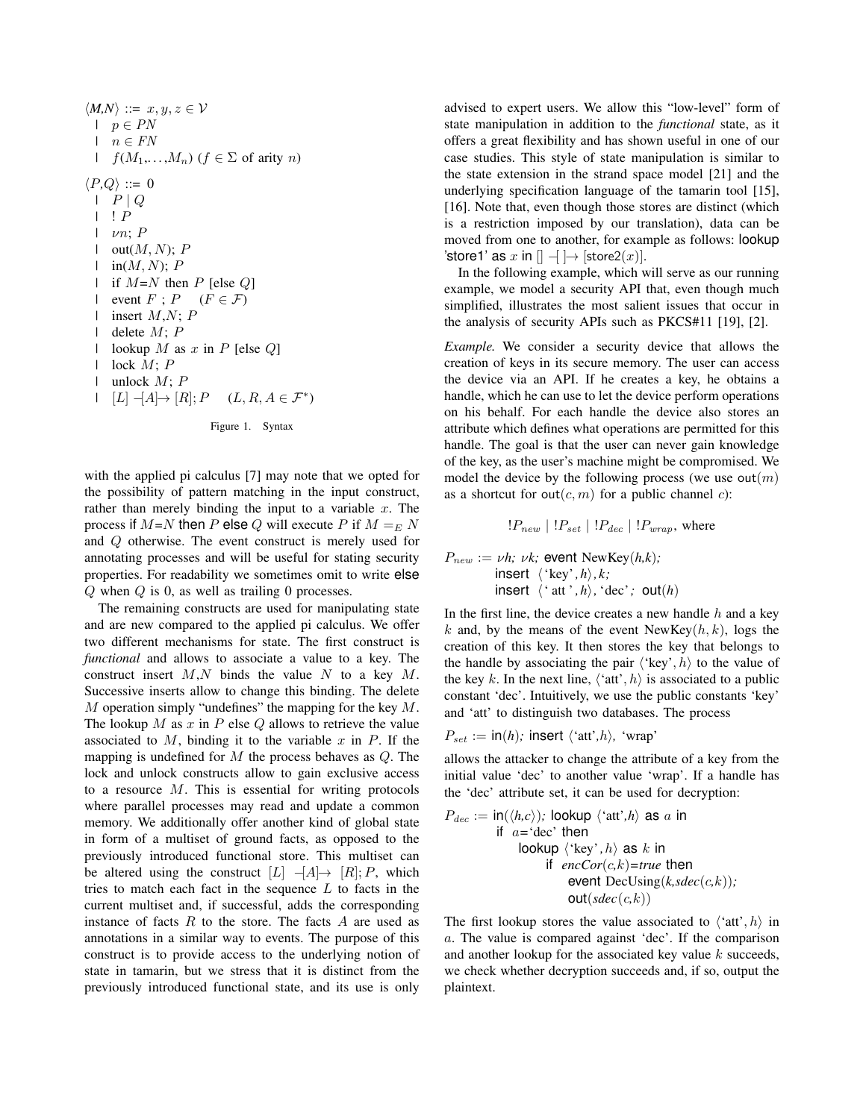$\langle M,N \rangle ::= x, y, z \in \mathcal{V}$  $\mid p \in PN$  $\mid n \in FN$ |  $f(M_1,...,M_n)$  ( $f \in \Sigma$  of arity n)  $\langle P,Q \rangle ::= 0$  $| P | Q$  $| \cdot | P$  $| \nu n; P$  $\vdash$  out $(M,N); P$  $\vdash$  in(M, N); P | if  $M=N$  then P [else Q] | event  $F$ ;  $P$  ( $F \in \mathcal{F}$ ) | insert  $M, N$ ;  $P$ | delete  $M; P$ | lookup  $M$  as  $x$  in  $P$  [else  $Q$ ]  $|$  lock  $M; P$ | unlock  $M: P$  $|L|$   $\neg [A] \rightarrow [R]; P$   $(L, R, A \in \mathcal{F}^*)$ 

Figure 1. Syntax

with the applied pi calculus [7] may note that we opted for the possibility of pattern matching in the input construct, rather than merely binding the input to a variable  $x$ . The process if  $M=N$  then P else Q will execute P if  $M =_E N$ and Q otherwise. The event construct is merely used for annotating processes and will be useful for stating security properties. For readability we sometimes omit to write else  $Q$  when  $Q$  is 0, as well as trailing 0 processes.

The remaining constructs are used for manipulating state and are new compared to the applied pi calculus. We offer two different mechanisms for state. The first construct is *functional* and allows to associate a value to a key. The construct insert  $M, N$  binds the value N to a key  $M$ . Successive inserts allow to change this binding. The delete  $M$  operation simply "undefines" the mapping for the key  $M$ . The lookup  $M$  as  $x$  in  $P$  else  $Q$  allows to retrieve the value associated to  $M$ , binding it to the variable  $x$  in  $P$ . If the mapping is undefined for  $M$  the process behaves as  $Q$ . The lock and unlock constructs allow to gain exclusive access to a resource  $M$ . This is essential for writing protocols where parallel processes may read and update a common memory. We additionally offer another kind of global state in form of a multiset of ground facts, as opposed to the previously introduced functional store. This multiset can be altered using the construct  $[L]$   $\Box[A] \rightarrow [R]; P$ , which tries to match each fact in the sequence  $L$  to facts in the current multiset and, if successful, adds the corresponding instance of facts  $R$  to the store. The facts  $A$  are used as annotations in a similar way to events. The purpose of this construct is to provide access to the underlying notion of state in tamarin, but we stress that it is distinct from the previously introduced functional state, and its use is only advised to expert users. We allow this "low-level" form of state manipulation in addition to the *functional* state, as it offers a great flexibility and has shown useful in one of our case studies. This style of state manipulation is similar to the state extension in the strand space model [21] and the underlying specification language of the tamarin tool [15], [16]. Note that, even though those stores are distinct (which is a restriction imposed by our translation), data can be moved from one to another, for example as follows: lookup 'store1' as x in  $[] \rightarrow ] \rightarrow [store2(x)].$ 

In the following example, which will serve as our running example, we model a security API that, even though much simplified, illustrates the most salient issues that occur in the analysis of security APIs such as PKCS#11 [19], [2].

*Example.* We consider a security device that allows the creation of keys in its secure memory. The user can access the device via an API. If he creates a key, he obtains a handle, which he can use to let the device perform operations on his behalf. For each handle the device also stores an attribute which defines what operations are permitted for this handle. The goal is that the user can never gain knowledge of the key, as the user's machine might be compromised. We model the device by the following process (we use  $out(m)$ as a shortcut for out $(c, m)$  for a public channel c):

$$
!P_{new} | !P_{set} | !P_{dec} | !P_{wrap}
$$
, where

$$
P_{new} := \nu h; \ \nu k; \ \text{event NewKey}(h, k);
$$
\n
$$
\text{insert } \langle \text{ 'key', h} \rangle, k;
$$
\n
$$
\text{insert } \langle \text{ 'att', h} \rangle, \text{ 'dec'}; \ \text{out}(h)
$$

In the first line, the device creates a new handle  $h$  and a key k and, by the means of the event NewKey $(h, k)$ , logs the creation of this key. It then stores the key that belongs to the handle by associating the pair  $\langle \text{key}, h \rangle$  to the value of the key k. In the next line,  $\langle \text{`att'}, h \rangle$  is associated to a public constant 'dec'. Intuitively, we use the public constants 'key' and 'att' to distinguish two databases. The process

$$
P_{set} := \text{in}(h); \text{ insert } \langle \text{'att'}, h \rangle, \text{ 'wrap'}
$$

allows the attacker to change the attribute of a key from the initial value 'dec' to another value 'wrap'. If a handle has the 'dec' attribute set, it can be used for decryption:

$$
P_{dec} := \text{in}(\langle h, c \rangle); \text{ lookup } \langle \text{`att'}, h \rangle \text{ as } a \text{ in}
$$
\nif  $a = \text{`dec}$ `then

\nlookup  $\langle \text{`key'}, h \rangle$  as  $k$  in

\nif  $encCor(c, k) = true$  then

\nevent DecUsing(k, \text{sdec}(c, k));

\nout(\text{sdec}(c, k))

The first lookup stores the value associated to  $\langle \text{`att'}, h \rangle$  in a. The value is compared against 'dec'. If the comparison and another lookup for the associated key value  $k$  succeeds, we check whether decryption succeeds and, if so, output the plaintext.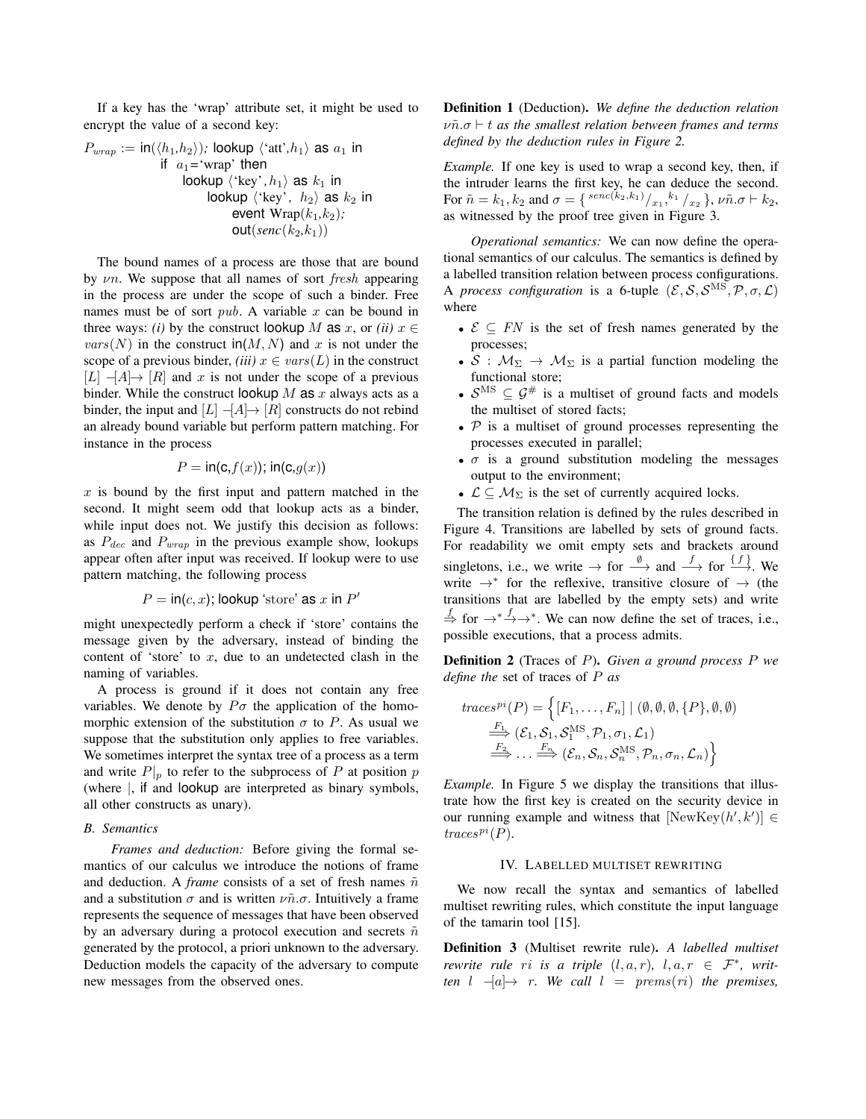If a key has the 'wrap' attribute set, it might be used to encrypt the value of a second key:

$$
P_{wrap} := \text{in}(\langle h_1, h_2 \rangle); \text{ lookup } \langle \text{cat}, h_1 \rangle \text{ as } a_1 \text{ in}
$$
\n
$$
\text{if } a_1 = \text{'wrap'} \text{ then}
$$
\n
$$
\text{lookup } \langle \text{ 'key'}, h_1 \rangle \text{ as } k_1 \text{ in}
$$
\n
$$
\text{lookup } \langle \text{ 'key'}, h_2 \rangle \text{ as } k_2 \text{ in}
$$
\n
$$
\text{event } \text{Wrap}(k_1, k_2);
$$
\n
$$
\text{out}(\text{sen}(k_2, k_1))
$$

The bound names of a process are those that are bound by  $\nu$ n. We suppose that all names of sort *fresh* appearing in the process are under the scope of such a binder. Free names must be of sort  $pub. A variable x can be bound in$ three ways: *(i)* by the construct lookup M as x, or *(ii)*  $x \in$  $vars(N)$  in the construct  $in(M, N)$  and x is not under the scope of a previous binder, *(iii)*  $x \in vars(L)$  in the construct  $[L]$   $-[A] \rightarrow [R]$  and x is not under the scope of a previous binder. While the construct lookup  $M$  as  $x$  always acts as a binder, the input and  $[L]$   $\Box$   $[A] \rightarrow [R]$  constructs do not rebind an already bound variable but perform pattern matching. For instance in the process

$$
P = \mathsf{in}(\mathsf{c}, f(x)); \mathsf{in}(\mathsf{c}, g(x))
$$

 $x$  is bound by the first input and pattern matched in the second. It might seem odd that lookup acts as a binder, while input does not. We justify this decision as follows: as  $P_{dec}$  and  $P_{wrap}$  in the previous example show, lookups appear often after input was received. If lookup were to use pattern matching, the following process

$$
P = \text{in}(c, x); \text{lookup 'store' as } x \text{ in } P'
$$

might unexpectedly perform a check if 'store' contains the message given by the adversary, instead of binding the content of 'store' to  $x$ , due to an undetected clash in the naming of variables.

A process is ground if it does not contain any free variables. We denote by  $P\sigma$  the application of the homomorphic extension of the substitution  $\sigma$  to P. As usual we suppose that the substitution only applies to free variables. We sometimes interpret the syntax tree of a process as a term and write  $P|_p$  to refer to the subprocess of P at position p (where |, if and lookup are interpreted as binary symbols, all other constructs as unary).

# *B. Semantics*

*Frames and deduction:* Before giving the formal semantics of our calculus we introduce the notions of frame and deduction. A *frame* consists of a set of fresh names  $\tilde{n}$ and a substitution  $\sigma$  and is written  $\nu \tilde{n} \cdot \sigma$ . Intuitively a frame represents the sequence of messages that have been observed by an adversary during a protocol execution and secrets  $\tilde{n}$ generated by the protocol, a priori unknown to the adversary. Deduction models the capacity of the adversary to compute new messages from the observed ones.

Definition 1 (Deduction). *We define the deduction relation*  $\nu\tilde{n}.\sigma \vdash t$  as the smallest relation between frames and terms *defined by the deduction rules in Figure 2.*

*Example.* If one key is used to wrap a second key, then, if the intruder learns the first key, he can deduce the second. For  $\tilde{n} = k_1, k_2$  and  $\sigma = \{ {^{senc(k_2,k_1)} /_{x_1}, k_1 } /_{x_2} }$ ,  $\nu \tilde{n} \cdot \sigma \vdash k_2$ , as witnessed by the proof tree given in Figure 3.

*Operational semantics:* We can now define the operational semantics of our calculus. The semantics is defined by a labelled transition relation between process configurations. A *process configuration* is a 6-tuple  $(\mathcal{E}, \mathcal{S}, \mathcal{S}^{\text{MS}}, \mathcal{P}, \sigma, \mathcal{L})$ where

- $\mathcal{E} \subseteq FN$  is the set of fresh names generated by the processes;
- $S : M_{\Sigma} \rightarrow M_{\Sigma}$  is a partial function modeling the functional store;
- $S^{\text{MS}} \subseteq \mathcal{G}^{\#}$  is a multiset of ground facts and models the multiset of stored facts;
- $P$  is a multiset of ground processes representing the processes executed in parallel;
- $\sigma$  is a ground substitution modeling the messages output to the environment;
- $\mathcal{L} \subseteq \mathcal{M}_{\Sigma}$  is the set of currently acquired locks.

The transition relation is defined by the rules described in Figure 4. Transitions are labelled by sets of ground facts. For readability we omit empty sets and brackets around singletons, i.e., we write  $\rightarrow$  for  $\stackrel{\emptyset}{\longrightarrow}$  and  $\stackrel{f}{\longrightarrow}$  for  $\stackrel{\{f\}}{\longrightarrow}$ . We write  $\rightarrow^*$  for the reflexive, transitive closure of  $\rightarrow$  (the transitions that are labelled by the empty sets) and write  $\stackrel{f}{\Rightarrow}$  for  $\rightarrow^* \stackrel{f}{\rightarrow} \rightarrow^*$ . We can now define the set of traces, i.e., possible executions, that a process admits.

Definition 2 (Traces of P). *Given a ground process* P *we define the* set of traces of P *as*

$$
traces^{pi}(P) = \left\{ [F_1, \ldots, F_n] \mid (\emptyset, \emptyset, \emptyset, \{P\}, \emptyset, \emptyset)
$$
  
\n
$$
\stackrel{F_1}{\Longrightarrow} (\mathcal{E}_1, \mathcal{S}_1, \mathcal{S}_1^{\text{MS}}, \mathcal{P}_1, \sigma_1, \mathcal{L}_1)
$$
  
\n
$$
\stackrel{F_2}{\Longrightarrow} \ldots \stackrel{F_n}{\Longrightarrow} (\mathcal{E}_n, \mathcal{S}_n, \mathcal{S}_n^{\text{MS}}, \mathcal{P}_n, \sigma_n, \mathcal{L}_n) \right\}
$$

*Example.* In Figure 5 we display the transitions that illustrate how the first key is created on the security device in our running example and witness that  $[NewKey(h', k')] \in$  $trace<sup>pi</sup>(P).$ 

#### IV. LABELLED MULTISET REWRITING

We now recall the syntax and semantics of labelled multiset rewriting rules, which constitute the input language of the tamarin tool [15].

Definition 3 (Multiset rewrite rule). *A labelled multiset rewrite rule ri is a triple*  $(l, a, r)$ *,*  $l, a, r \in \mathcal{F}^*$ *, written*  $l \quad -[a] \rightarrow r$ *. We call*  $l = prems(ri)$  *the premises,*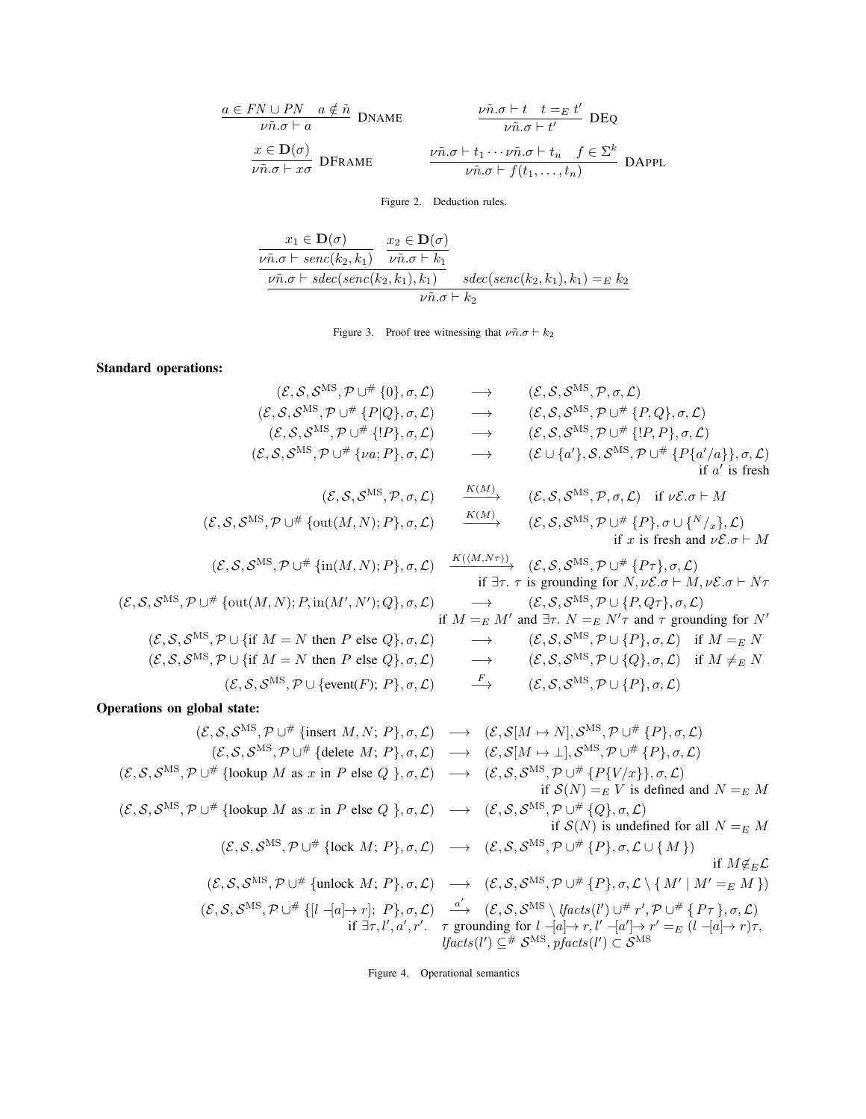$$
\frac{a \in FN \cup PN \quad a \notin \tilde{n}}{\nu \tilde{n}.\sigma \vdash a} \quad \text{DNAME} \qquad \qquad \frac{\nu \tilde{n}.\sigma \vdash t \quad t =_E t'}{\nu \tilde{n}.\sigma \vdash t'} \quad \text{DEQ}
$$
\n
$$
\frac{x \in \mathbf{D}(\sigma)}{\nu \tilde{n}.\sigma \vdash x\sigma} \quad \text{DFRAME} \qquad \qquad \frac{\nu \tilde{n}.\sigma \vdash t_1 \cdots \nu \tilde{n}.\sigma \vdash t_n \quad f \in \Sigma^k}{\nu \tilde{n}.\sigma \vdash f(t_1, \ldots, t_n)} \quad \text{DAPPL}
$$

Figure 2. Deduction rules.

$$
\frac{x_1 \in \mathbf{D}(\sigma)}{\nu \tilde{n}.\sigma \vdash \textit{senc}(k_2, k_1)} \quad \frac{x_2 \in \mathbf{D}(\sigma)}{\nu \tilde{n}.\sigma \vdash k_1} \quad \frac{\nu \tilde{n}.\sigma \vdash \textit{senc}(k_2, k_1), k_1)}{\nu \tilde{n}.\sigma \vdash k_2} \quad \textit{sdec}(\textit{senc}(k_2, k_1), k_1) =_E k_2}
$$

Figure 3. Proof tree witnessing that  $\nu \tilde{n} \cdot \sigma \vdash k_2$ 

# Standard operations:

| $(\mathcal{E}, \mathcal{S}, \mathcal{S}^{\text{MS}}, \mathcal{P} \cup^{\#} \{0\}, \sigma, \mathcal{L})$                                                                                                                                                                                | $\longrightarrow$               | $(\mathcal{E}, \mathcal{S}, \mathcal{S}^{\text{MS}}, \mathcal{P}, \sigma, \mathcal{L})$                                                                                                                                                                                                                                                                                                                                                                                                                                                                            |
|----------------------------------------------------------------------------------------------------------------------------------------------------------------------------------------------------------------------------------------------------------------------------------------|---------------------------------|--------------------------------------------------------------------------------------------------------------------------------------------------------------------------------------------------------------------------------------------------------------------------------------------------------------------------------------------------------------------------------------------------------------------------------------------------------------------------------------------------------------------------------------------------------------------|
| $(\mathcal{E}, \mathcal{S}, \mathcal{S}^{\text{MS}}, \mathcal{P} \cup^{\#} \{P Q\}, \sigma, \mathcal{L})$                                                                                                                                                                              | $\longrightarrow$               | $(\mathcal{E}, \mathcal{S}, \mathcal{S}^{\text{MS}}, \mathcal{P} \cup^{\#} \{P, Q\}, \sigma, \mathcal{L})$                                                                                                                                                                                                                                                                                                                                                                                                                                                         |
| $(\mathcal{E}, \mathcal{S}, \mathcal{S}^{\text{MS}}, \mathcal{P} \cup^{\#} \{!P\}, \sigma, \mathcal{L})$                                                                                                                                                                               | $\longrightarrow$               | $(\mathcal{E}, \mathcal{S}, \mathcal{S}^{\text{MS}}, \mathcal{P} \cup^{\#} \{P, P\}, \sigma, \mathcal{L})$                                                                                                                                                                                                                                                                                                                                                                                                                                                         |
| $(\mathcal{E}, \mathcal{S}, \mathcal{S}^{\text{MS}}, \mathcal{P} \cup^{\#} {\omega; P}, \sigma, \mathcal{L})$                                                                                                                                                                          | $\longrightarrow$               | $(\mathcal{E} \cup \{a'\}, \mathcal{S}, \mathcal{S}^{\text{MS}}, \mathcal{P} \cup^{\#} \{P\{a'/a\}\}, \sigma, \mathcal{L})$<br>if $a'$ is fresh                                                                                                                                                                                                                                                                                                                                                                                                                    |
| $(\mathcal{E}, \mathcal{S}, \mathcal{S}^{\text{MS}}, \mathcal{P}, \sigma, \mathcal{L})$                                                                                                                                                                                                | K(M)                            | $(\mathcal{E}, \mathcal{S}, \mathcal{S}^{\text{MS}}, \mathcal{P}, \sigma, \mathcal{L})$ if $\nu \mathcal{E}.\sigma \vdash M$                                                                                                                                                                                                                                                                                                                                                                                                                                       |
| $(\mathcal{E}, \mathcal{S}, \mathcal{S}^{\text{MS}}, \mathcal{P} \cup^{\#} \{\text{out}(M, N); P\}, \sigma, \mathcal{L})$                                                                                                                                                              | K(M)                            | $(\mathcal{E}, \mathcal{S}, \mathcal{S}^{\text{MS}}, \mathcal{P} \cup^{\#} \{P\}, \sigma \cup \{N_{x}\}, \mathcal{L})$<br>if x is fresh and $\nu \mathcal{E} \cdot \sigma \vdash M$                                                                                                                                                                                                                                                                                                                                                                                |
| $(\mathcal{E}, \mathcal{S}, \mathcal{S}^{\text{MS}}, \mathcal{P} \cup \# \{in(M, N); P\}, \sigma, \mathcal{L}) \xrightarrow{K((M, N\tau))} (\mathcal{E}, \mathcal{S}, \mathcal{S}^{\text{MS}}, \mathcal{P} \cup \# \{P\tau\}, \sigma, \mathcal{L})$                                    |                                 | if $\exists \tau$ . $\tau$ is grounding for $N, \nu \mathcal{E}.\sigma \vdash M, \nu \mathcal{E}.\sigma \vdash N\tau$                                                                                                                                                                                                                                                                                                                                                                                                                                              |
| $(\mathcal{E}, \mathcal{S}, \mathcal{S}^{\text{MS}}, \mathcal{P} \cup^{\#} \{\text{out}(M, N); P, \text{in}(M', N'); Q\}, \sigma, \mathcal{L})$                                                                                                                                        | $\longrightarrow$               | $(\mathcal{E}, \mathcal{S}, \mathcal{S}^{\text{MS}}, \mathcal{P} \cup \{P, Q\tau\}, \sigma, \mathcal{L})$<br>if $M =_E M'$ and $\exists \tau$ . $N =_E N' \tau$ and $\tau$ grounding for N'                                                                                                                                                                                                                                                                                                                                                                        |
| $(\mathcal{E}, \mathcal{S}, \mathcal{S}^{\text{MS}}, \mathcal{P} \cup \{\text{if } M = N \text{ then } P \text{ else } Q\}, \sigma, \mathcal{L})$                                                                                                                                      | $\longrightarrow$               | $(\mathcal{E}, \mathcal{S}, \mathcal{S}^{\text{MS}}, \mathcal{P} \cup \{P\}, \sigma, \mathcal{L})$ if $M =_E N$                                                                                                                                                                                                                                                                                                                                                                                                                                                    |
| $(\mathcal{E}, \mathcal{S}, \mathcal{S}^{\text{MS}}, \mathcal{P} \cup \{\text{if } M = N \text{ then } P \text{ else } Q\}, \sigma, \mathcal{L})$                                                                                                                                      | $\longrightarrow$               | $(\mathcal{E}, \mathcal{S}, \mathcal{S}^{\text{MS}}, \mathcal{P} \cup \{Q\}, \sigma, \mathcal{L})$ if $M \neq_{E} N$                                                                                                                                                                                                                                                                                                                                                                                                                                               |
| $(\mathcal{E}, \mathcal{S}, \mathcal{S}^{\text{MS}}, \mathcal{P} \cup {\text{event}(F); P}, \sigma, \mathcal{L})$                                                                                                                                                                      | $\stackrel{F}{\longrightarrow}$ | $(\mathcal{E}, \mathcal{S}, \mathcal{S}^{\text{MS}}, \mathcal{P} \cup \{P\}, \sigma, \mathcal{L})$                                                                                                                                                                                                                                                                                                                                                                                                                                                                 |
| Operations on global state:                                                                                                                                                                                                                                                            |                                 |                                                                                                                                                                                                                                                                                                                                                                                                                                                                                                                                                                    |
| $(\mathcal{E}, \mathcal{S}, \mathcal{S}^{\text{MS}}, \mathcal{P} \cup^{\#} \{\text{insert } M, N; P\}, \sigma, \mathcal{L}) \longrightarrow (\mathcal{E}, \mathcal{S}[M \mapsto N], \mathcal{S}^{\text{MS}}, \mathcal{P} \cup^{\#} \{P\}, \sigma, \mathcal{L})$                        |                                 |                                                                                                                                                                                                                                                                                                                                                                                                                                                                                                                                                                    |
| $(\mathcal{E}, \mathcal{S}, \mathcal{S}^{\text{MS}}, \mathcal{P} \cup^{\#} {\text{delete } M; P}, \sigma, \mathcal{L}) \rightarrow (\mathcal{E}, \mathcal{S}[M \mapsto \bot], \mathcal{S}^{\text{MS}}, \mathcal{P} \cup^{\#} \{P\}, \sigma, \mathcal{L})$                              |                                 |                                                                                                                                                                                                                                                                                                                                                                                                                                                                                                                                                                    |
| $(\mathcal{E}, \mathcal{S}, \mathcal{S}^{\text{MS}}, \mathcal{P} \cup^{\#} {\text{lookup } M \text{ as } x \text{ in } P \text{ else } Q, \sigma, \mathcal{L}) \rightarrow (\mathcal{E}, \mathcal{S}, \mathcal{S}^{\text{MS}}, \mathcal{P} \cup^{\#} {P\{V/x\}}, \sigma, \mathcal{L})$ |                                 | if $S(N) =_E V$ is defined and $N =_E M$                                                                                                                                                                                                                                                                                                                                                                                                                                                                                                                           |
| $(\mathcal{E}, \mathcal{S}, \mathcal{S}^{\text{MS}}, \mathcal{P} \cup \# \{\text{lookup } M \text{ as } x \text{ in } P \text{ else } Q \}, \sigma, \mathcal{L}) \rightarrow (\mathcal{E}, \mathcal{S}, \mathcal{S}^{\text{MS}}, \mathcal{P} \cup \# \{Q\}, \sigma, \mathcal{L})$      |                                 | if $S(N)$ is undefined for all $N =_E M$                                                                                                                                                                                                                                                                                                                                                                                                                                                                                                                           |
| $(\mathcal{E}, \mathcal{S}, \mathcal{S}^{\text{MS}}, \mathcal{P} \cup^{\#} {\text{lock } M; P}, \sigma, \mathcal{L}) \rightarrow (\mathcal{E}, \mathcal{S}, \mathcal{S}^{\text{MS}}, \mathcal{P} \cup^{\#} {\{P\}}, \sigma, \mathcal{L} \cup {\{M\}})$                                 |                                 | if $M \notin_E \mathcal{L}$                                                                                                                                                                                                                                                                                                                                                                                                                                                                                                                                        |
|                                                                                                                                                                                                                                                                                        |                                 | $(\mathcal{E}, \mathcal{S}, \mathcal{S}^{\text{MS}}, \mathcal{P} \cup^{\#} \{\text{unlock } M; P\}, \sigma, \mathcal{L}) \rightarrow (\mathcal{E}, \mathcal{S}, \mathcal{S}^{\text{MS}}, \mathcal{P} \cup^{\#} \{P\}, \sigma, \mathcal{L} \setminus \{M' \mid M' =_{E} M\})$                                                                                                                                                                                                                                                                                       |
|                                                                                                                                                                                                                                                                                        |                                 | $(\mathcal{E}, \mathcal{S}, \mathcal{S}^{\text{MS}}, \mathcal{P} \cup^{\#} \{[l -  a  \rightarrow r]; P\}, \sigma, \mathcal{L}) \stackrel{a'}{\longrightarrow} (\mathcal{E}, \mathcal{S}, \mathcal{S}^{\text{MS}} \setminus \text{lfacts}(l') \cup^{\#} r', \mathcal{P} \cup^{\#} \{P_{\tau}\}, \sigma, \mathcal{L})$<br>if $\exists \tau, l', a', r'$ . $\tau$ grounding for $l \neg a \rightarrow r, l' \neg a' \rightarrow r' =_E (l \neg a \rightarrow r) \tau$ ,<br><i>lfacts</i> ( <i>l'</i> ) $\subseteq$ # $S^{MS}$ , pfacts( <i>l'</i> ) $\subset S^{MS}$ |

Figure 4. Operational semantics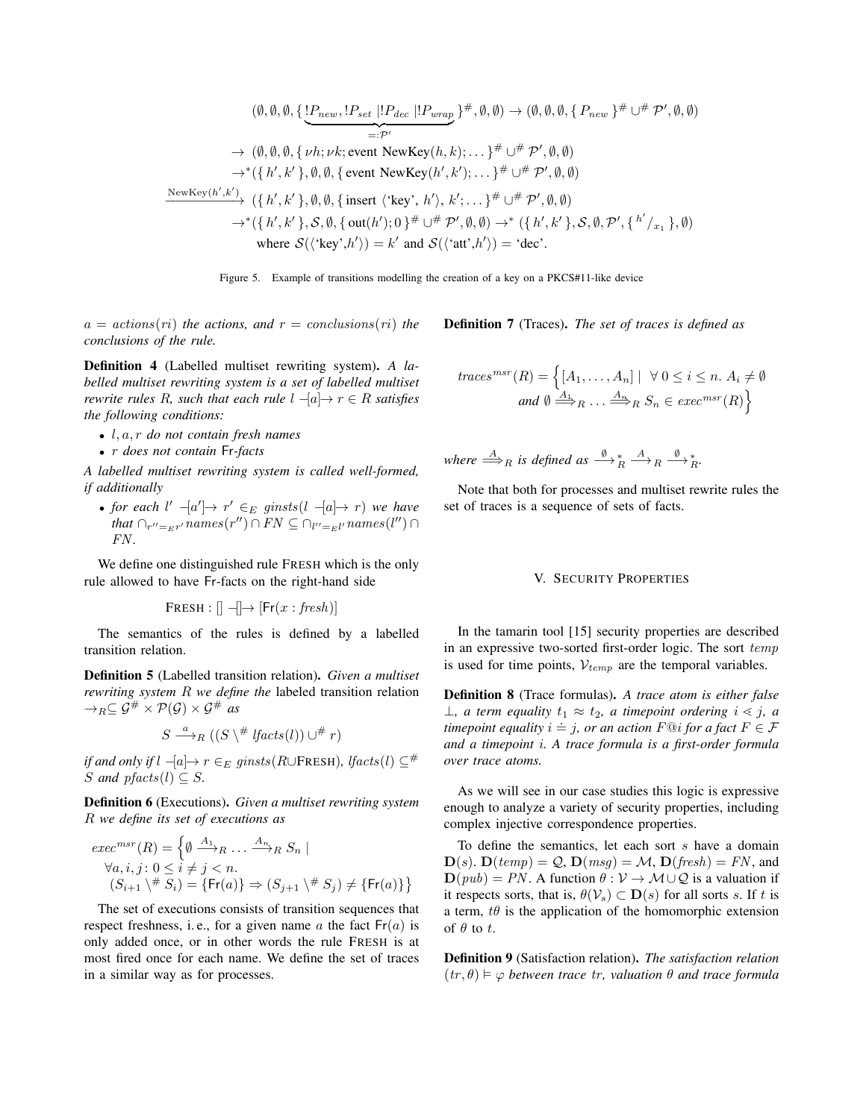$$
(\emptyset, \emptyset, \emptyset, \{\underbrace{!P_{new}, !P_{set} | !P_{dec} | !P_{wrap}}\}^{\#}, \emptyset, \emptyset) \rightarrow (\emptyset, \emptyset, \emptyset, \{P_{new}\}^{\#} \cup^{\#} \mathcal{P}', \emptyset, \emptyset)
$$
\n
$$
\rightarrow (\emptyset, \emptyset, \emptyset, \{ \nu h; \nu k; \text{event NewKey}(h, k); \dots \}^{\#} \cup^{\#} \mathcal{P}', \emptyset, \emptyset)
$$
\n
$$
\rightarrow^{\ast}(\{h', k'\}, \emptyset, \emptyset, \{\text{event NewKey}(h', k'); \dots \}^{\#} \cup^{\#} \mathcal{P}', \emptyset, \emptyset)
$$
\n
$$
\xrightarrow{\text{NewKey}(h', k')} (\{h', k'\}, \emptyset, \emptyset, \{\text{ insert } \langle \text{key}', h' \rangle, k'; \dots \}^{\#} \cup^{\#} \mathcal{P}', \emptyset, \emptyset)
$$
\n
$$
\rightarrow^{\ast}(\{h', k'\}, \mathcal{S}, \emptyset, \{\text{out}(h'); 0\}^{\#} \cup^{\#} \mathcal{P}', \emptyset, \emptyset) \rightarrow^{\ast}(\{h', k'\}, \mathcal{S}, \emptyset, \mathcal{P}', \{h'\}_{x_1}\}, \emptyset)
$$
\nwhere  $\mathcal{S}(\langle \text{key}', h' \rangle) = k'$  and  $\mathcal{S}(\langle \text{att}', h' \rangle) = \text{'dec}'.$ 

Figure 5. Example of transitions modelling the creation of a key on a PKCS#11-like device

 $a = \arctan(s(\tau))$  *the actions, and*  $r = \arctan(s(\tau))$  *the conclusions of the rule.*

Definition 4 (Labelled multiset rewriting system). *A labelled multiset rewriting system is a set of labelled multiset rewrite rules* R, *such that each rule*  $l -a$   $\rightarrow$   $r \in R$  *satisfies the following conditions:*

- l, a, r *do not contain fresh names*
- r *does not contain* Fr*-facts*

*A labelled multiset rewriting system is called well-formed, if additionally*

• *for each*  $l'$   $\frac{-a'}{=}$   $r' \in E$  ginsts  $(l - a \rightarrow r)$  we have that  $\bigcap_{r''=_{E}r'} names(r'') \cap FN \subseteq \bigcap_{l''=_{E}l'} names(l'') \cap$ FN *.*

We define one distinguished rule FRESH which is the only rule allowed to have Fr-facts on the right-hand side

$$
FRESH : [] \longrightarrow [Fr(x : fresh)]
$$

The semantics of the rules is defined by a labelled transition relation.

Definition 5 (Labelled transition relation). *Given a multiset rewriting system* R *we define the* labeled transition relation  $\rightarrow_R \subseteq \mathcal{G}^{\#} \times \mathcal{P}(\mathcal{G}) \times \mathcal{G}^{\#}$  as

$$
S \stackrel{a}{\longrightarrow}_R ((S \setminus \# \text{ \textit{lfacts}(l))} \cup \# r)
$$

*if and only if*  $l$   $-la$   $\rightarrow$   $r \in E$  ginsts (R∪FRESH), *lfacts*(l)  $\subseteq$  # *S* and  $pfacts(l) \subseteq S$ .

Definition 6 (Executions). *Given a multiset rewriting system* R *we define its set of executions as*

$$
exec^{msr}(R) = \left\{ \emptyset \xrightarrow{A_1} R \dots \xrightarrow{A_n} R S_n \mid
$$
  
\n
$$
\forall a, i, j: 0 \le i \ne j < n.
$$
  
\n
$$
(S_{i+1} \setminus \nexists s_i) = \{ \mathsf{Fr}(a) \} \Rightarrow (S_{j+1} \setminus \nexists s_j) \neq \{ \mathsf{Fr}(a) \} \right\}
$$

The set of executions consists of transition sequences that respect freshness, i.e., for a given name a the fact  $Fr(a)$  is only added once, or in other words the rule FRESH is at most fired once for each name. We define the set of traces in a similar way as for processes.

$$
traces^{msr}(R) = \left\{ [A_1, \dots, A_n] \mid \forall 0 \le i \le n. A_i \neq \emptyset \right\}
$$
  
and  $\emptyset \stackrel{A_1}{\Longrightarrow}_R \dots \stackrel{A_n}{\Longrightarrow}_R S_n \in exec^{msr}(R) \right\}$ 

Definition 7 (Traces). *The set of traces is defined as*

where 
$$
\stackrel{A}{\Longrightarrow}_R
$$
 is defined as  $\stackrel{\emptyset}{\longrightarrow}_R^* \stackrel{A}{\longrightarrow}_R^* \stackrel{\emptyset}{\longrightarrow}_R^*$ .

Note that both for processes and multiset rewrite rules the set of traces is a sequence of sets of facts.

#### V. SECURITY PROPERTIES

In the tamarin tool [15] security properties are described in an expressive two-sorted first-order logic. The sort temp is used for time points,  $V_{temp}$  are the temporal variables.

Definition 8 (Trace formulas). *A trace atom is either false*  $\perp$ , a term equality  $t_1 \approx t_2$ , a timepoint ordering  $i \leq j$ , a  $\pm$ *f* a lettric equality  $i = j$ , or an action  $F@i$  *for a fact*  $F \in \mathcal{F}$ *and a timepoint* i*. A trace formula is a first-order formula over trace atoms.*

As we will see in our case studies this logic is expressive enough to analyze a variety of security properties, including complex injective correspondence properties.

To define the semantics, let each sort  $s$  have a domain  $\mathbf{D}(s)$ .  $\mathbf{D}(temp) = \mathcal{Q}$ ,  $\mathbf{D}(msg) = \mathcal{M}$ ,  $\mathbf{D}(fresh) = FN$ , and  $\mathbf{D}(pub) = PN$ . A function  $\theta : V \to M \cup Q$  is a valuation if it respects sorts, that is,  $\theta(\mathcal{V}_s) \subset \mathbf{D}(s)$  for all sorts s. If t is a term,  $t\theta$  is the application of the homomorphic extension of  $\theta$  to t.

Definition 9 (Satisfaction relation). *The satisfaction relation*  $(tr, \theta) \vDash \varphi$  between trace  $tr$ , valuation  $\theta$  and trace formula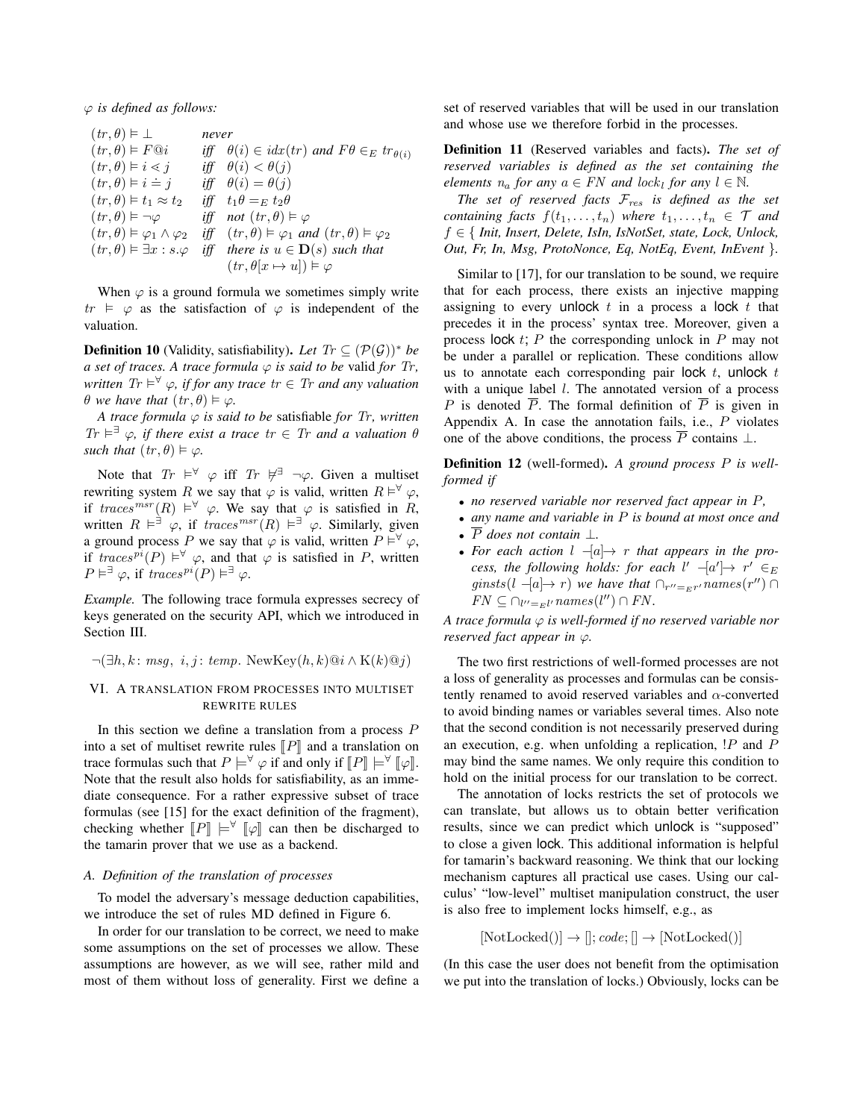ϕ *is defined as follows:*

 $(tr, \theta) \models \perp$  ⊥ *never*  $(tr, \theta) \models F@i$ iff  $\theta(i) \in i dx (tr)$  and  $F\theta \in_E tr_{\theta(i)}$  $(tr, \theta) \models i \lessdot$ iff  $\theta(i) < \theta(j)$  $(tr, \theta) \models i =$ iff  $\theta(i) = \theta(j)$  $(tr, \theta) \models t_1 \approx t_2$ iff  $t_1 \theta =_E t_2 \theta$  $(tr, \theta) \models \neg \varphi$  $\vDash \neg \varphi$  *iff* not  $(tr, \theta) \vDash \varphi$  $(tr, \theta) \vDash \varphi_1 \wedge \varphi_2$  $\vDash \varphi_1 \land \varphi_2$  *iff*  $(tr, \theta) \vDash \varphi_1$  and  $(tr, \theta) \vDash \varphi_2$  $(tr, \theta) \vDash \exists x : s.\varphi \text{ iff there is } u \in \mathbf{D}(s) \text{ such that}$  $(tr, \theta[x \mapsto u]) \models \varphi$ 

When  $\varphi$  is a ground formula we sometimes simply write  $tr \vDash \varphi$  as the satisfaction of  $\varphi$  is independent of the valuation.

**Definition 10** (Validity, satisfiability). Let  $Tr \subseteq (\mathcal{P}(\mathcal{G}))^*$  be *a set of traces. A trace formula*  $\varphi$  *is said to be valid for Tr,*  $Tr \models^{\forall} \varphi$ *<i>, if for any trace tr*  $\in$  *Tr and any valuation*  $\theta$  we have that  $(tr, \theta) \vDash \varphi$ .

*A trace formula*  $\varphi$  *is said to be satisfiable for Tr, written*  $Tr \models^{\exists} \varphi$ , if there exist a trace  $tr \in Tr$  and a valuation  $\theta$ *such that*  $(tr, \theta) \models \varphi$ .

Note that  $Tr \models^{\forall} \varphi$  iff  $Tr \not\models^{\exists} \neg \varphi$ . Given a multiset rewriting system R we say that  $\varphi$  is valid, written  $R \vDash^{\forall} \varphi$ , if  $traces^{msr}(R) \models^{\forall} \varphi$ . We say that  $\varphi$  is satisfied in R, written  $R \vDash^{\exists} \varphi$ , if  $traces^{msr}(R) \vDash^{\exists} \varphi$ . Similarly, given a ground process P we say that  $\varphi$  is valid, written  $P \vDash^{\forall} \varphi$ , if  $traces^{pi}(P) \vDash^{\forall} \varphi$ , and that  $\varphi$  is satisfied in P, written  $P \vDash^{\exists} \varphi$ , if  $traces^{pi}(P) \vDash^{\exists} \varphi$ .

*Example.* The following trace formula expresses secrecy of keys generated on the security API, which we introduced in Section III.

 $\neg(\exists h, k \colon msg, i, j \colon temp. NewKey(h, k)@i \wedge K(k)@j)$ 

# VI. A TRANSLATION FROM PROCESSES INTO MULTISET REWRITE RULES

In this section we define a translation from a process  $P$ into a set of multiset rewrite rules  $\llbracket P \rrbracket$  and a translation on trace formulas such that  $P \models^{\forall} \varphi$  if and only if  $[ P ] \models^{\forall} [ \varphi ]$ . Note that the result also holds for satisfiability, as an immediate consequence. For a rather expressive subset of trace formulas (see [15] for the exact definition of the fragment), checking whether  $\llbracket P \rrbracket \models^{\forall} \llbracket \varphi \rrbracket$  can then be discharged to the tamarin prover that we use as a backend.

# *A. Definition of the translation of processes*

To model the adversary's message deduction capabilities, we introduce the set of rules MD defined in Figure 6.

In order for our translation to be correct, we need to make some assumptions on the set of processes we allow. These assumptions are however, as we will see, rather mild and most of them without loss of generality. First we define a

set of reserved variables that will be used in our translation and whose use we therefore forbid in the processes.

Definition 11 (Reserved variables and facts). *The set of reserved variables is defined as the set containing the elements*  $n_a$  *for any*  $a \in FN$  *and lock<sub>l</sub> for any*  $l \in \mathbb{N}$ *.* 

*The set of reserved facts* Fres *is defined as the set containing facts*  $f(t_1,...,t_n)$  *where*  $t_1,...,t_n \in \mathcal{T}$  *and* f ∈ { *Init, Insert, Delete, IsIn, IsNotSet, state, Lock, Unlock, Out, Fr, In, Msg, ProtoNonce, Eq, NotEq, Event, InEvent* }*.*

Similar to [17], for our translation to be sound, we require that for each process, there exists an injective mapping assigning to every unlock  $t$  in a process a lock  $t$  that precedes it in the process' syntax tree. Moreover, given a process lock  $t$ ; P the corresponding unlock in P may not be under a parallel or replication. These conditions allow us to annotate each corresponding pair lock  $t$ , unlock  $t$ with a unique label  $l$ . The annotated version of a process P is denoted  $\overline{P}$ . The formal definition of  $\overline{P}$  is given in Appendix A. In case the annotation fails, i.e.,  $P$  violates one of the above conditions, the process  $\overline{P}$  contains  $\perp$ .

Definition 12 (well-formed). *A ground process* P *is wellformed if*

- *no reserved variable nor reserved fact appear in* P*,*
- *any name and variable in* P *is bound at most once and*
- $\overline{P}$  *does not contain*  $\perp$ .
- For each action  $l -a$   $\rightarrow r$  that appears in the pro*cess, the following holds: for each*  $l'$   $-la'$ ] $\rightarrow$   $r' \in E$  $ginsts(l - [a] \rightarrow r)$  *we have that*  $\bigcap_{r''=E} r'$  *names* $(r'') \cap$ FN ⊆ ∩<sup>l</sup>--=El-names(l ) ∩ FN *.*

*A trace formula* ϕ *is well-formed if no reserved variable nor reserved fact appear in*  $\varphi$ *.* 

The two first restrictions of well-formed processes are not a loss of generality as processes and formulas can be consistently renamed to avoid reserved variables and  $\alpha$ -converted to avoid binding names or variables several times. Also note that the second condition is not necessarily preserved during an execution, e.g. when unfolding a replication,  $P$  and  $P$ may bind the same names. We only require this condition to hold on the initial process for our translation to be correct.

The annotation of locks restricts the set of protocols we can translate, but allows us to obtain better verification results, since we can predict which unlock is "supposed" to close a given lock. This additional information is helpful for tamarin's backward reasoning. We think that our locking mechanism captures all practical use cases. Using our calculus' "low-level" multiset manipulation construct, the user is also free to implement locks himself, e.g., as

$$
[NotLocked()]\rightarrow []; code; []\rightarrow [NotLocked()]
$$

(In this case the user does not benefit from the optimisation we put into the translation of locks.) Obviously, locks can be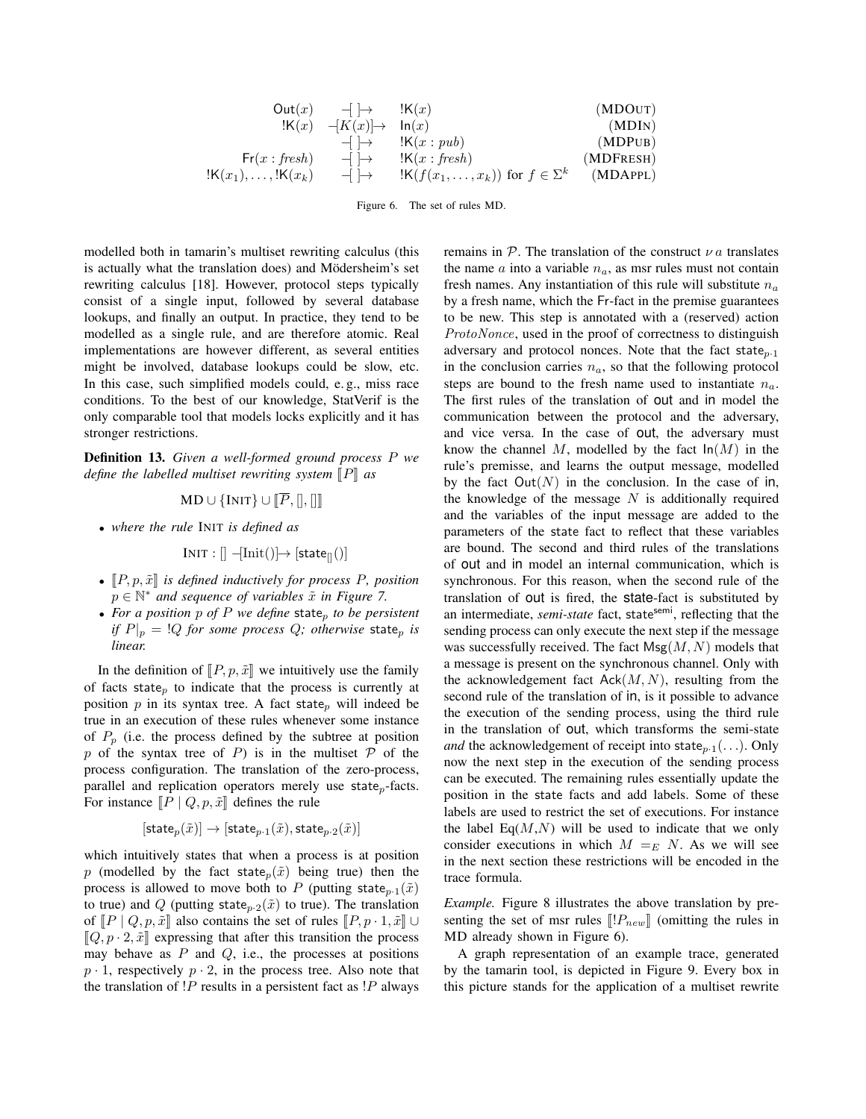| Out(x)                                                   | $-\rightarrow$                                   | $\cdot$ K(x)                                                           | (MDOUT)   |
|----------------------------------------------------------|--------------------------------------------------|------------------------------------------------------------------------|-----------|
| $\cdot$ K(x)                                             | $-\left\{\left \rightarrow\right\rangle\right\}$ | $\ln(x)$                                                               | (MDOUT)   |
| $-\rightarrow$                                           | $\cdot$ K(x : pub)                               | (MDPUB)                                                                |           |
| $\text{Fr}(x : \text{ fresh})$                           | $-\rightarrow$                                   | $\cdot$ K(x : \text{ fresh})                                           | (MDPUB)   |
| $\cdot$ K(x <sub>1</sub> ),..., \cdot K(x <sub>k</sub> ) | $-\rightarrow$                                   | $\cdot$ K(f(x <sub>1</sub> ,...,x <sub>k</sub> )) for $f \in \Sigma^k$ | (MDAPPLD) |

Figure 6. The set of rules MD.

modelled both in tamarin's multiset rewriting calculus (this is actually what the translation does) and Mödersheim's set rewriting calculus [18]. However, protocol steps typically consist of a single input, followed by several database lookups, and finally an output. In practice, they tend to be modelled as a single rule, and are therefore atomic. Real implementations are however different, as several entities might be involved, database lookups could be slow, etc. In this case, such simplified models could, e. g., miss race conditions. To the best of our knowledge, StatVerif is the only comparable tool that models locks explicitly and it has stronger restrictions.

Definition 13. *Given a well-formed ground process* P *we* define the labelled multiset rewriting system  $\llbracket P \rrbracket$  as

$$
\mathrm{MD} \cup \{\mathrm{INIT}\} \cup \llbracket P, [] , [] \rrbracket
$$

• *where the rule* INIT *is defined as*

$$
INIT : [] -[Init()] \rightarrow [state_{[]}())
$$

- $[P, p, \tilde{x}]$  *is defined inductively for process P, position*  $p \in \mathbb{N}^*$  *and sequence of variables*  $\tilde{x}$  *in Figure 7.*
- For a position  $p$  of  $P$  *we define* state<sub>p</sub> to be persistent *if*  $P|_p = \frac{Q}{Q}$  *for some process*  $Q$ *; otherwise* state<sub>p</sub> *is linear.*

In the definition of  $\llbracket P, p, \tilde{x} \rrbracket$  we intuitively use the family of facts state<sub>p</sub> to indicate that the process is currently at position  $p$  in its syntax tree. A fact state<sub>p</sub> will indeed be true in an execution of these rules whenever some instance of  $P_p$  (i.e. the process defined by the subtree at position p of the syntax tree of P) is in the multiset  $P$  of the process configuration. The translation of the zero-process, parallel and replication operators merely use state<sub>p</sub>-facts. For instance  $\llbracket P \mid Q, p, \tilde{x} \rrbracket$  defines the rule

$$
[\mathsf{state}_p(\tilde{x})] \to [\mathsf{state}_{p\cdot 1}(\tilde{x}), \mathsf{state}_{p\cdot 2}(\tilde{x})]
$$

which intuitively states that when a process is at position p (modelled by the fact state<sub>p</sub> $(\tilde{x})$  being true) then the process is allowed to move both to P (putting state<sub>p·1</sub>( $\tilde{x}$ ) to true) and Q (putting state<sub>p</sub> $\cdot$ <sub>2</sub>( $\tilde{x}$ ) to true). The translation of  $\llbracket P \mid Q, p, \tilde{x} \rrbracket$  also contains the set of rules  $\llbracket P, p \cdot 1, \tilde{x} \rrbracket \cup$  $[Q, p \cdot 2, \tilde{x}]$  expressing that after this transition the process may behave as  $P$  and  $Q$ , i.e., the processes at positions  $p \cdot 1$ , respectively  $p \cdot 2$ , in the process tree. Also note that the translation of  $P$  results in a persistent fact as  $P$  always

remains in  $P$ . The translation of the construct  $\nu a$  translates the name  $\alpha$  into a variable  $n_{\alpha}$ , as msr rules must not contain fresh names. Any instantiation of this rule will substitute  $n_a$ by a fresh name, which the Fr-fact in the premise guarantees to be new. This step is annotated with a (reserved) action ProtoNonce, used in the proof of correctness to distinguish adversary and protocol nonces. Note that the fact state $_{p.1}$ in the conclusion carries  $n_a$ , so that the following protocol steps are bound to the fresh name used to instantiate  $n_a$ . The first rules of the translation of out and in model the communication between the protocol and the adversary, and vice versa. In the case of out, the adversary must know the channel M, modelled by the fact  $ln(M)$  in the rule's premisse, and learns the output message, modelled by the fact  $Out(N)$  in the conclusion. In the case of in, the knowledge of the message  $N$  is additionally required and the variables of the input message are added to the parameters of the state fact to reflect that these variables are bound. The second and third rules of the translations of out and in model an internal communication, which is synchronous. For this reason, when the second rule of the translation of out is fired, the state-fact is substituted by an intermediate, *semi-state* fact, statesemi, reflecting that the sending process can only execute the next step if the message was successfully received. The fact  $Msg(M,N)$  models that a message is present on the synchronous channel. Only with the acknowledgement fact  $Ack(M, N)$ , resulting from the second rule of the translation of in, is it possible to advance the execution of the sending process, using the third rule in the translation of out, which transforms the semi-state *and* the acknowledgement of receipt into state<sub>p-1</sub> $(\ldots)$ . Only now the next step in the execution of the sending process can be executed. The remaining rules essentially update the position in the state facts and add labels. Some of these labels are used to restrict the set of executions. For instance the label  $Eq(M, N)$  will be used to indicate that we only consider executions in which  $M =_{E} N$ . As we will see in the next section these restrictions will be encoded in the trace formula.

*Example.* Figure 8 illustrates the above translation by presenting the set of msr rules  $[[!P_{new}]]$  (omitting the rules in MD already shown in Figure 6).

A graph representation of an example trace, generated by the tamarin tool, is depicted in Figure 9. Every box in this picture stands for the application of a multiset rewrite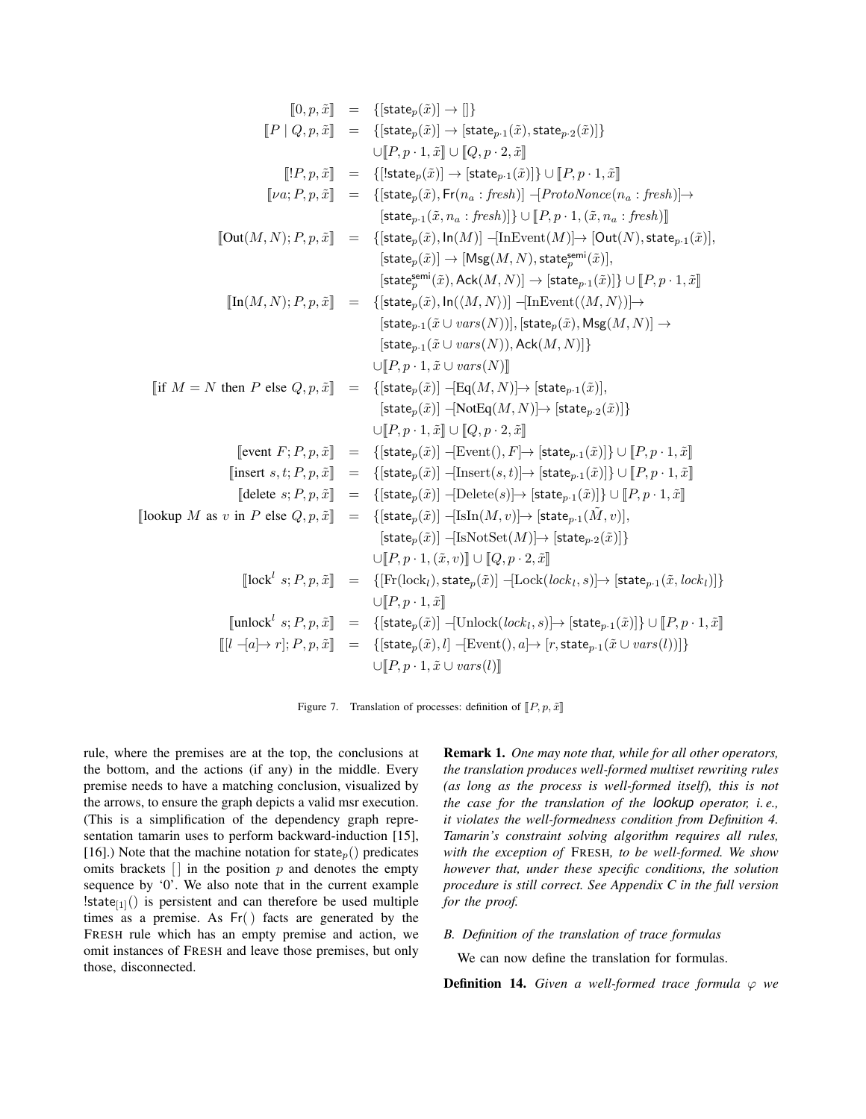$$
[0, p, \tilde{x}] = \{[\text{state}_p(\tilde{x})] \rightarrow |\text{state}_{p1}(\tilde{x}), \text{state}_{p2}(\tilde{x})]\} \\
[P | Q, p, \tilde{x}] = \{[\text{state}_p(\tilde{x})] \rightarrow [\text{state}_p(\tilde{x})], \text{state}_{p1}(\tilde{x}), \text{state}_{p2}(\tilde{x})]\} \\
[V, p, \tilde{x}] = \{[\text{state}_p(\tilde{x}), \text{Fr}(n_a : \text{first})] \cup [P, p \cdot 1, \tilde{x}] \cup [P, p \cdot 1, \tilde{x}]\} \\
[V, p, \tilde{x}] = \{[\text{state}_p(\tilde{x}), \text{Fr}(n_a : \text{first})] \cup [P, p \cdot 1, \tilde{x}, n_a : \text{first})]\} \\
\text{[Out}(M, N); P, p, \tilde{x}] = \{[\text{state}_p(\tilde{x}), \text{ln}(M)] - [\text{InEvent}(M)] \rightarrow [\text{Out}(N), \text{state}_{p1}(\tilde{x})], \text{state}_{p1}(\tilde{x})], \text{state}_{p2}(\tilde{x})], \text{state}_{p3}(\tilde{x})\} \\
[V, q, \tilde{x}] = \{[\text{state}_p(\tilde{x}), \text{det}(M, N)] \rightarrow [\text{Out}(N), \text{state}_{p1}(\tilde{x})], \text{state}_{p4}(\tilde{x})]\} \\
[V, q, \tilde{x}] = \{[\text{state}_p(\tilde{x}), \text{det}(M, N)] \rightarrow [\text{state}_{p1}(\tilde{x}), \text{dist}_{p2}(\tilde{x})], \text{state}_{p3}(\tilde{x})]\} \\
[V, q, \tilde{x}] = \{[\text{state}_p(\tilde{x}), \text{det}(M, N)] \rightarrow [\text{state}_{p1}(\tilde{x}), \text{Hx}(M, N)]\} \\
\text{[state}_p(\tilde{x}) = \text{dist}_{p1}(\tilde{x}) \cup \text{vars}(N)]\} \\
[V, q, \tilde{x}] = \{[\text{state}_p(\tilde{x})] - [\text{Red}(M, N)] \rightarrow [\text{state}_p(\tilde{x}), \text{Hx}(M, N)]\} \\
\text{[state}_p(\tilde{x}) = \text{Hx}(N, N, N)]\} \\
[V, q, \tilde{x}) = \{[\text{state}_p(\tilde{x})] - [\text{Hx}(M, N)] \rightarrow [\text{state}_p(\tilde
$$

Figure 7. Translation of processes: definition of  $\llbracket P, p, \tilde{x} \rrbracket$ 

rule, where the premises are at the top, the conclusions at the bottom, and the actions (if any) in the middle. Every premise needs to have a matching conclusion, visualized by the arrows, to ensure the graph depicts a valid msr execution. (This is a simplification of the dependency graph representation tamarin uses to perform backward-induction [15], [16].) Note that the machine notation for state<sub>p</sub>() predicates omits brackets  $\left[ \cdot \right]$  in the position p and denotes the empty sequence by '0'. We also note that in the current example !state $_{[1]}()$  is persistent and can therefore be used multiple times as a premise. As Fr() facts are generated by the FRESH rule which has an empty premise and action, we omit instances of FRESH and leave those premises, but only those, disconnected.

Remark 1. *One may note that, while for all other operators, the translation produces well-formed multiset rewriting rules (as long as the process is well-formed itself), this is not the case for the translation of the lookup operator, i. e., it violates the well-formedness condition from Definition 4. Tamarin's constraint solving algorithm requires all rules, with the exception of* FRESH*, to be well-formed. We show however that, under these specific conditions, the solution procedure is still correct. See Appendix C in the full version for the proof.*

# *B. Definition of the translation of trace formulas*

We can now define the translation for formulas.

**Definition 14.** *Given a well-formed trace formula*  $\varphi$  *we*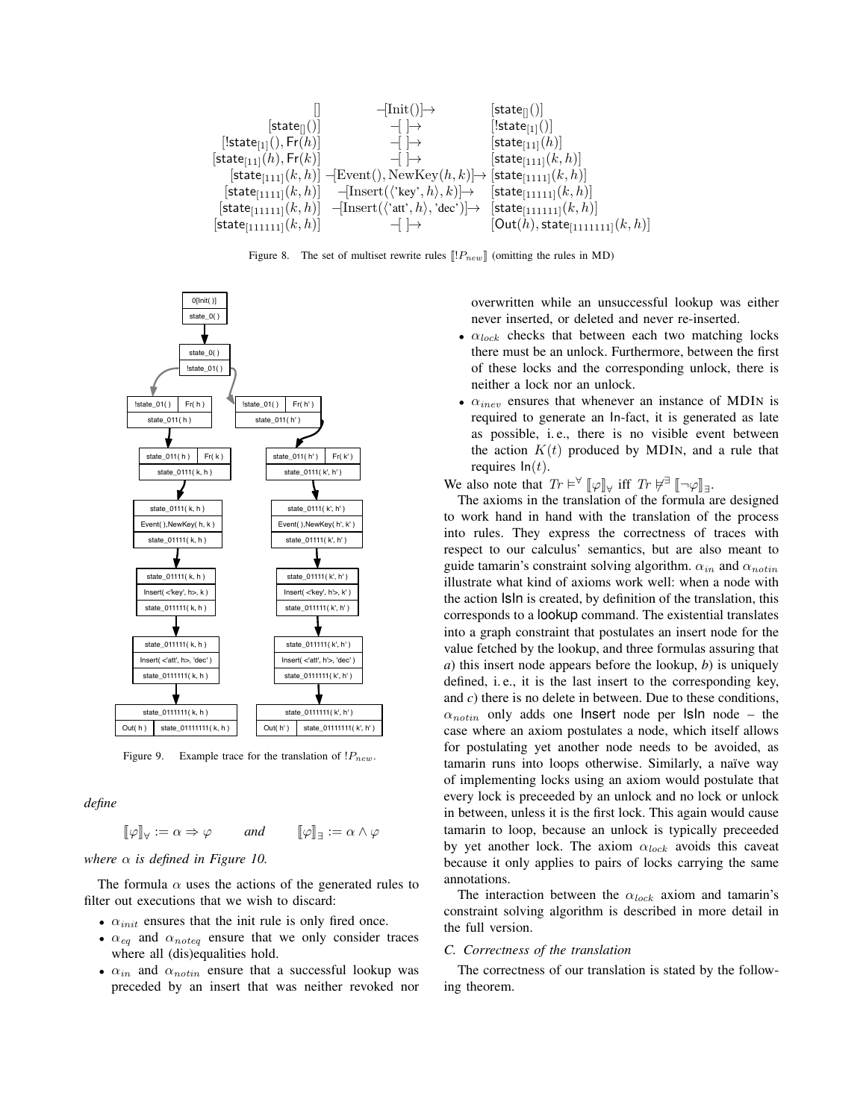

Figure 8. The set of multiset rewrite rules  $[[!P_{new}]]$  (omitting the rules in MD)



Figure 9. Example trace for the translation of  $P_{new}$ .

*define*

$$
[\![\varphi]\!]_\forall := \alpha \Rightarrow \varphi \qquad \text{and} \qquad [\![\varphi]\!]_\exists := \alpha \wedge \varphi
$$

*where*  $\alpha$  *is defined in Figure 10.* 

The formula  $\alpha$  uses the actions of the generated rules to filter out executions that we wish to discard:

- $\alpha_{init}$  ensures that the init rule is only fired once.
- $\alpha_{eq}$  and  $\alpha_{noteq}$  ensure that we only consider traces where all (dis)equalities hold.
- $\alpha_{in}$  and  $\alpha_{notin}$  ensure that a successful lookup was preceded by an insert that was neither revoked nor

overwritten while an unsuccessful lookup was either never inserted, or deleted and never re-inserted.

- $\alpha_{lock}$  checks that between each two matching locks there must be an unlock. Furthermore, between the first of these locks and the corresponding unlock, there is neither a lock nor an unlock.
- $\alpha_{\text{inev}}$  ensures that whenever an instance of MDIN is required to generate an In-fact, it is generated as late as possible, i.e., there is no visible event between the action  $K(t)$  produced by MDIN, and a rule that requires  $ln(t)$ .

We also note that  $Tr \models^{\forall} [\![\varphi]\!]_{\forall}$  iff  $Tr \not\equiv [\![\neg \varphi]\!]_{\exists}$ .

The axioms in the translation of the formula are designed to work hand in hand with the translation of the process into rules. They express the correctness of traces with respect to our calculus' semantics, but are also meant to guide tamarin's constraint solving algorithm.  $\alpha_{in}$  and  $\alpha_{notin}$ illustrate what kind of axioms work well: when a node with the action IsIn is created, by definition of the translation, this corresponds to a lookup command. The existential translates into a graph constraint that postulates an insert node for the value fetched by the lookup, and three formulas assuring that *a*) this insert node appears before the lookup, *b*) is uniquely defined, i. e., it is the last insert to the corresponding key, and *c*) there is no delete in between. Due to these conditions,  $\alpha_{notin}$  only adds one lnsert node per Isln node – the case where an axiom postulates a node, which itself allows for postulating yet another node needs to be avoided, as tamarin runs into loops otherwise. Similarly, a naïve way of implementing locks using an axiom would postulate that every lock is preceeded by an unlock and no lock or unlock in between, unless it is the first lock. This again would cause tamarin to loop, because an unlock is typically preceeded by yet another lock. The axiom  $\alpha_{lock}$  avoids this caveat because it only applies to pairs of locks carrying the same annotations.

The interaction between the  $\alpha_{lock}$  axiom and tamarin's constraint solving algorithm is described in more detail in the full version.

#### *C. Correctness of the translation*

The correctness of our translation is stated by the following theorem.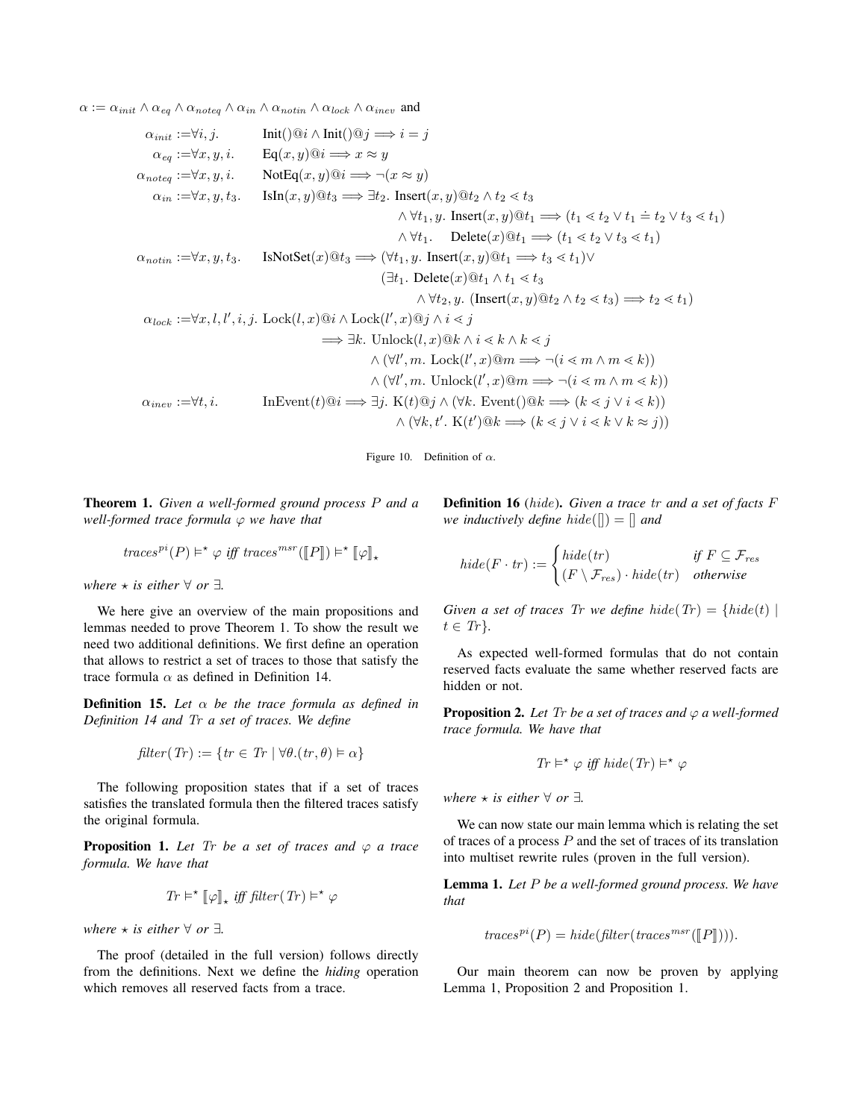$\alpha := \alpha_{init} \wedge \alpha_{eq} \wedge \alpha_{noteq} \wedge \alpha_{in} \wedge \alpha_{notin} \wedge \alpha_{lock} \wedge \alpha_{inev}$  and

$$
\alpha_{init} := \forall i, j. \qquad \text{Init}() @i \wedge \text{Init}() @j \implies i = j
$$
\n
$$
\alpha_{eq} := \forall x, y, i. \qquad \text{Eq}(x, y) @i \implies x \approx y
$$
\n
$$
\alpha_{noteq} := \forall x, y, i. \qquad \text{NotEq}(x, y) @i \implies \neg(x \approx y)
$$
\n
$$
\alpha_{in} := \forall x, y, t. \qquad \text{IsIn}(x, y) @t_3 \implies \exists t_2. \text{ Insert}(x, y) @t_2 \wedge t_2 < t_3
$$
\n
$$
\wedge \forall t_1, y. \text{ Insert}(x, y) @t_1 \implies (t_1 < t_2 \vee t_1 \doteq t_2 \vee t_3 < t_1)
$$
\n
$$
\wedge \forall t_1. \qquad \text{Delete}(x) @t_1 \implies (t_1 < t_2 \vee t_3 < t_1)
$$
\n
$$
\wedge \forall t_1. \qquad \text{Delete}(x) @t_1 \implies (t_1 < t_2 \vee t_3 < t_1)
$$
\n
$$
\wedge \forall t_1. \qquad \text{Delete}(x) @t_1 \implies t_3 < t_1 \vee \vee t_3
$$
\n
$$
\wedge \forall t_2. \qquad y. \text{ Insert}(x, y) @t_1 \implies t_3 < t_1 \vee \vee \vee t_3
$$
\n
$$
\wedge \forall t_2. y. \text{ (Insert}(x, y) @t_1 \wedge t_1 < t_3
$$
\n
$$
\wedge \forall t_2. y. \text{ (Insert}(x, y) @t_2 \wedge t_2 < t_3) \implies t_2 < t_1
$$
\n
$$
\wedge \forall t_2. y. \text{ (Insert}(x, y) @t_2 \wedge t_2 < t_3) \implies t_2 < t_1
$$
\n
$$
\wedge \forall t_2. y. \text{ (Insert}(x, y) @t_1 \wedge t_1 < t_3
$$
\n
$$
\wedge \forall t_2. y. \text{ (Insert}(x, y) @t_1 \wedge t_2 < t_
$$

Figure 10. Definition of  $\alpha$ .

Theorem 1. *Given a well-formed ground process* P *and a well-formed trace formula*  $ϕ$  *we have that* 

$$
\hbox{\textit{traces}}^{\mathit{pi}}(P) \vDash^{\star} \varphi \ \hbox{\textit{iff}} \ \hbox{\textit{traces}}^{\mathit{msr}}(\llbracket P \rrbracket) \vDash^{\star} \llbracket \varphi \rrbracket_{\star}
$$

*where*  $\star$  *is either*  $\forall$  *or*  $\exists$ *.* 

We here give an overview of the main propositions and lemmas needed to prove Theorem 1. To show the result we need two additional definitions. We first define an operation that allows to restrict a set of traces to those that satisfy the trace formula  $\alpha$  as defined in Definition 14.

Definition 15. *Let* α *be the trace formula as defined in Definition 14 and* Tr *a set of traces. We define*

$$
filter(Tr) := \{ tr \in Tr \mid \forall \theta. (tr, \theta) \models \alpha \}
$$

The following proposition states that if a set of traces satisfies the translated formula then the filtered traces satisfy the original formula.

**Proposition 1.** Let  $Tr$  be a set of traces and  $\varphi$  a trace *formula. We have that*

$$
Tr \models^{\star} [\![\varphi]\!]_{\star} \text{ iff } \text{filter}(\text{Tr}) \models^{\star} \varphi
$$

*where*  $\star$  *is either*  $\forall$  *or*  $\exists$ *.* 

The proof (detailed in the full version) follows directly from the definitions. Next we define the *hiding* operation which removes all reserved facts from a trace.

Definition 16 (hide). *Given a trace* tr *and a set of facts* F *we inductively define hide*( $\vert \vert$ ) =  $\vert \vert$  *and* 

$$
hide(F \cdot tr) := \begin{cases} hide(tr) & \text{if } F \subseteq \mathcal{F}_{res} \\ (F \setminus \mathcal{F}_{res}) \cdot hide(tr) & otherwise \end{cases}
$$

*Given a set of traces Tr we define hide*( $Tr$ ) = { $hide(t)$  |  $t \in Tr$ .

As expected well-formed formulas that do not contain reserved facts evaluate the same whether reserved facts are hidden or not.

**Proposition 2.** Let Tr be a set of traces and  $\varphi$  a well-formed *trace formula. We have that*

$$
\mathit{Tr}\models^{\star}\varphi\mathit{ iff }\mathit{ hide}(\mathit{Tr})\models^{\star}\varphi
$$

*where*  $\star$  *is either*  $\forall$  *or*  $\exists$ *.* 

We can now state our main lemma which is relating the set of traces of a process  $P$  and the set of traces of its translation into multiset rewrite rules (proven in the full version).

Lemma 1. *Let* P *be a well-formed ground process. We have that*

$$
traces^{pi}(P) = hide(filter(traces^{msr}([\llbracket P \rrbracket)))\text{.}
$$

Our main theorem can now be proven by applying Lemma 1, Proposition 2 and Proposition 1.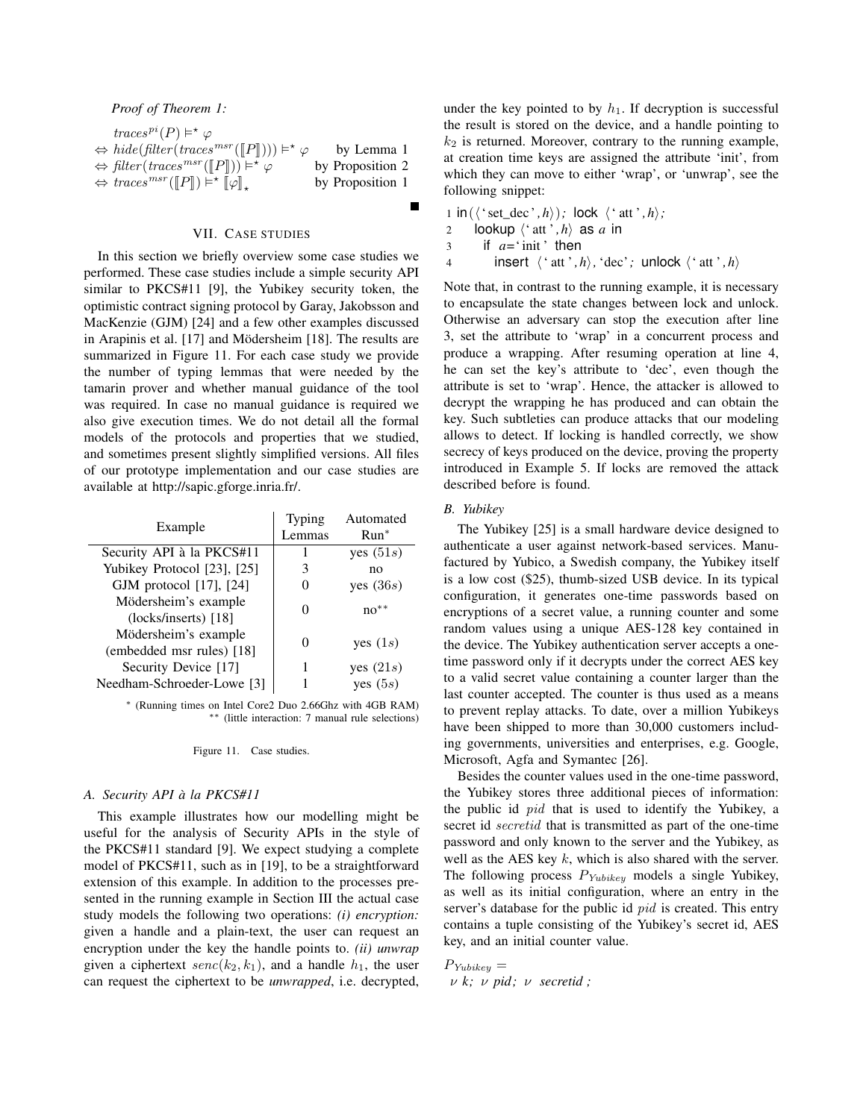# *Proof of Theorem 1:*

| $traces^{pi}(P) \models^{\star} \varphi$                                                                                      |                  |
|-------------------------------------------------------------------------------------------------------------------------------|------------------|
| $\Leftrightarrow \textit{hide}(\textit{filter}(traces^{msr}(\llbracket P \rrbracket))) \models^* \varphi$                     | by Lemma 1       |
| $\Leftrightarrow \text{filter}(traces^{msr}(\llbracket P \rrbracket)) \models^{\star} \varphi$                                | by Proposition 2 |
| $\Leftrightarrow$ traces <sup>msr</sup> ( $\llbracket P \rrbracket$ ) $\models^{\star} \llbracket \varphi \rrbracket_{\star}$ | by Proposition 1 |

# VII. CASE STUDIES

In this section we briefly overview some case studies we performed. These case studies include a simple security API similar to PKCS#11 [9], the Yubikey security token, the optimistic contract signing protocol by Garay, Jakobsson and MacKenzie (GJM) [24] and a few other examples discussed in Arapinis et al. [17] and Mödersheim [18]. The results are summarized in Figure 11. For each case study we provide the number of typing lemmas that were needed by the tamarin prover and whether manual guidance of the tool was required. In case no manual guidance is required we also give execution times. We do not detail all the formal models of the protocols and properties that we studied, and sometimes present slightly simplified versions. All files of our prototype implementation and our case studies are available at http://sapic.gforge.inria.fr/.

| Example                     | <b>Typing</b>     | Automated   |  |
|-----------------------------|-------------------|-------------|--|
|                             | Lemmas            | $Run^*$     |  |
| Security API à la PKCS#11   | 1                 | yes $(51s)$ |  |
| Yubikey Protocol [23], [25] | 3                 | no          |  |
| GJM protocol [17], [24]     | $\theta$          | yes (36s)   |  |
| Mödersheim's example        | ∩                 | $no**$      |  |
| $(locks/inserts)$ [18]      |                   |             |  |
| Mödersheim's example        | $\mathbf{\Omega}$ |             |  |
| (embedded msr rules) [18]   |                   | yes $(1s)$  |  |
| Security Device [17]        | 1                 | yes $(21s)$ |  |
| Needham-Schroeder-Lowe [3]  |                   | yes $(5s)$  |  |

∗ (Running times on Intel Core2 Duo 2.66Ghz with 4GB RAM) ∗∗ (little interaction: 7 manual rule selections)

### Figure 11. Case studies.

# *A. Security API à la PKCS#11*

This example illustrates how our modelling might be useful for the analysis of Security APIs in the style of the PKCS#11 standard [9]. We expect studying a complete model of PKCS#11, such as in [19], to be a straightforward extension of this example. In addition to the processes presented in the running example in Section III the actual case study models the following two operations: *(i) encryption:* given a handle and a plain-text, the user can request an encryption under the key the handle points to. *(ii) unwrap* given a ciphertext  $\text{senc}(k_2, k_1)$ , and a handle  $h_1$ , the user can request the ciphertext to be *unwrapped*, i.e. decrypted,

under the key pointed to by  $h_1$ . If decryption is successful the result is stored on the device, and a handle pointing to  $k_2$  is returned. Moreover, contrary to the running example, at creation time keys are assigned the attribute 'init', from which they can move to either 'wrap', or 'unwrap', see the following snippet:

1 in (
$$
\langle
$$
 'set-dec', h)); lock  $\langle$  'att', h $\rangle$ ;  
2 lookup  $\langle$  'att', h $\rangle$  as a in  
3 if a= 'init' then  
4 insert  $\langle$  'att', h $\rangle$ , 'dec'; unlock  $\langle$  'att', h $\rangle$ 

Note that, in contrast to the running example, it is necessary to encapsulate the state changes between lock and unlock. Otherwise an adversary can stop the execution after line 3, set the attribute to 'wrap' in a concurrent process and produce a wrapping. After resuming operation at line 4, he can set the key's attribute to 'dec', even though the attribute is set to 'wrap'. Hence, the attacker is allowed to decrypt the wrapping he has produced and can obtain the key. Such subtleties can produce attacks that our modeling allows to detect. If locking is handled correctly, we show secrecy of keys produced on the device, proving the property introduced in Example 5. If locks are removed the attack described before is found.

### *B. Yubikey*

The Yubikey [25] is a small hardware device designed to authenticate a user against network-based services. Manufactured by Yubico, a Swedish company, the Yubikey itself is a low cost (\$25), thumb-sized USB device. In its typical configuration, it generates one-time passwords based on encryptions of a secret value, a running counter and some random values using a unique AES-128 key contained in the device. The Yubikey authentication server accepts a onetime password only if it decrypts under the correct AES key to a valid secret value containing a counter larger than the last counter accepted. The counter is thus used as a means to prevent replay attacks. To date, over a million Yubikeys have been shipped to more than 30,000 customers including governments, universities and enterprises, e.g. Google, Microsoft, Agfa and Symantec [26].

Besides the counter values used in the one-time password, the Yubikey stores three additional pieces of information: the public id *pid* that is used to identify the Yubikey, a secret id *secretid* that is transmitted as part of the one-time password and only known to the server and the Yubikey, as well as the AES key  $k$ , which is also shared with the server. The following process  $P_{Yubikey}$  models a single Yubikey, as well as its initial configuration, where an entry in the server's database for the public id pid is created. This entry contains a tuple consisting of the Yubikey's secret id, AES key, and an initial counter value.

 $P_{Yubikey} =$ ν *k;* ν *pid ;* ν *secretid ;*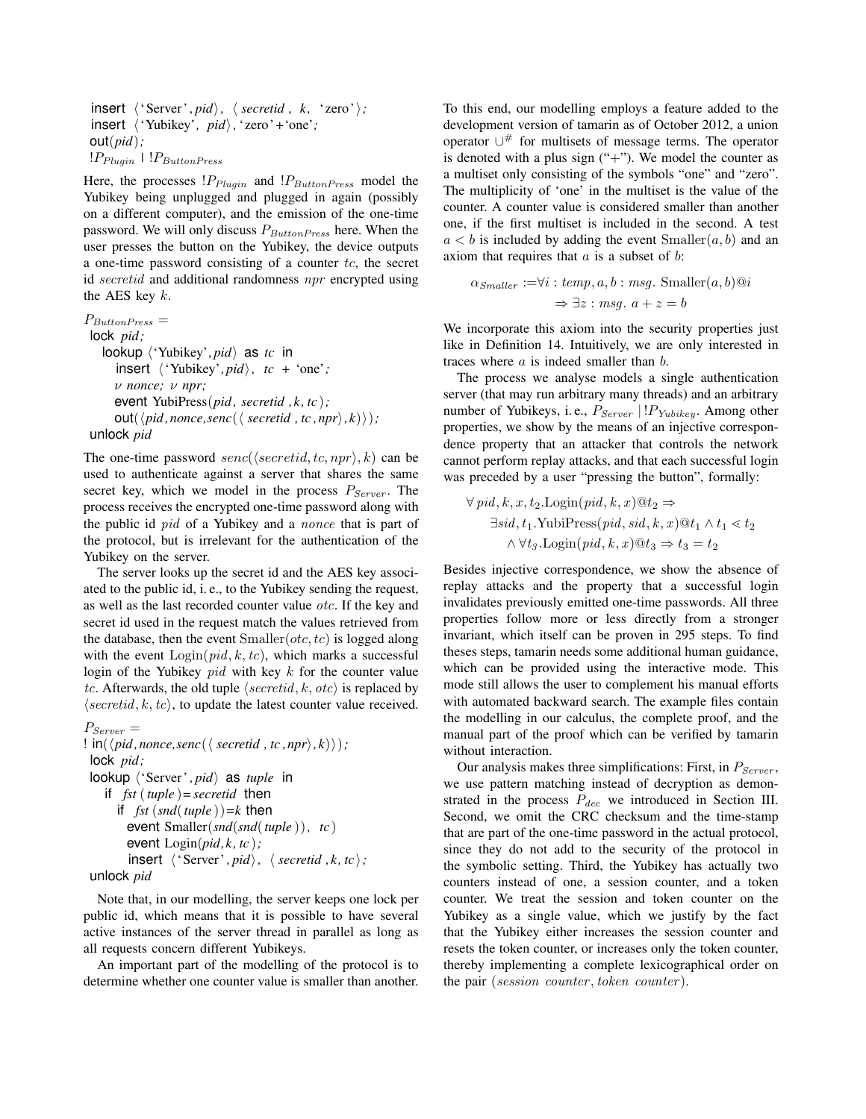$\{ \text{`Server'}, \text{pid'} \}, \ \langle \text{secretid}, \text{ k, 'zero'} \rangle;$ insert 'Yubikey'*, pid,*'zero '*+*'one'*;* out(*pid*)*;*  $!P_{Pluain}$   $|$   $!P_{ButtonPress}$ 

Here, the processes  $P_{Pluqin}$  and  $P_{ButtonPress}$  model the Yubikey being unplugged and plugged in again (possibly on a different computer), and the emission of the one-time password. We will only discuss  $P_{ButtonPress}$  here. When the user presses the button on the Yubikey, the device outputs a one-time password consisting of a counter  $tc$ , the secret id secretid and additional randomness  $npr$  encrypted using the AES key  $k$ .

 $P_{ButtonPress} =$ lock *pid ;* lookup  $\langle 'Yubikey', pid \rangle$  as *tc* in insert 'Yubikey'*, pid, tc +* 'one'*;* ν *nonce;* ν *npr;* event YubiPress(*pid , secretid ,k, tc* )*;*  $out(\langle pid, nonce,senc(\langle secretid, tc, npr\rangle, k)\rangle);$ unlock *pid*

The one-time password senc( $\langle secretid, tc, npr \rangle, k$ ) can be used to authenticate against a server that shares the same secret key, which we model in the process  $P_{Server}$ . The process receives the encrypted one-time password along with the public id *pid* of a Yubikey and a *nonce* that is part of the protocol, but is irrelevant for the authentication of the Yubikey on the server.

The server looks up the secret id and the AES key associated to the public id, i. e., to the Yubikey sending the request, as well as the last recorded counter value otc. If the key and secret id used in the request match the values retrieved from the database, then the event  $Smaller(otc, tc)$  is logged along with the event  $\text{Login}(pid, k, tc)$ , which marks a successful login of the Yubikey  $pid$  with key  $k$  for the counter value tc. Afterwards, the old tuple  $\langle secretid, k, otc \rangle$  is replaced by  $\langle secretid, k, tc \rangle$ , to update the latest counter value received.

```
P_{Server} =! \text{in}(\langle pid, nonce, \text{senc}(\langle \text{secretid}, tc, npr \rangle, k)\rangle);lock pid ;
lookup \langle 'Server', pid as tuple in
    if fst (tuple )= secretid then
       if fst (snd(tuple ))=k then
          event Smaller(snd(snd(tuple )), tc )
          event Login(pid,k, tc );
          insert \langle 'Server', pid\rangle, \langle secretid, k, tc\rangle;
 unlock pid
```
Note that, in our modelling, the server keeps one lock per public id, which means that it is possible to have several active instances of the server thread in parallel as long as all requests concern different Yubikeys.

An important part of the modelling of the protocol is to determine whether one counter value is smaller than another.

To this end, our modelling employs a feature added to the development version of tamarin as of October 2012, a union operator ∪# for multisets of message terms. The operator is denoted with a plus sign  $("+")$ . We model the counter as a multiset only consisting of the symbols "one" and "zero". The multiplicity of 'one' in the multiset is the value of the counter. A counter value is considered smaller than another one, if the first multiset is included in the second. A test  $a < b$  is included by adding the event  $Smaller(a, b)$  and an axiom that requires that  $a$  is a subset of  $b$ :

$$
\alpha_{Smaller} := \forall i : temp, a, b : msg. \text{ Smaller}(a, b) @ i \n\Rightarrow \exists z : msg. \ a + z = b
$$

We incorporate this axiom into the security properties just like in Definition 14. Intuitively, we are only interested in traces where a is indeed smaller than b.

The process we analyse models a single authentication server (that may run arbitrary many threads) and an arbitrary number of Yubikeys, i.e.,  $P_{Server}$  | ! $P_{Yubikey}$ . Among other properties, we show by the means of an injective correspondence property that an attacker that controls the network cannot perform replay attacks, and that each successful login was preceded by a user "pressing the button", formally:

$$
\forall pid, k, x, t_2. \text{Login}(pid, k, x) \, \text{O}t_2 \Rightarrow
$$
  
\n
$$
\exists sid, t_1. \text{YubiPress}(pid, sid, k, x) \, \text{O}t_1 \land t_1 < t_2
$$
  
\n
$$
\land \forall t_3. \text{Login}(pid, k, x) \, \text{O}t_3 \Rightarrow t_3 = t_2
$$

Besides injective correspondence, we show the absence of replay attacks and the property that a successful login invalidates previously emitted one-time passwords. All three properties follow more or less directly from a stronger invariant, which itself can be proven in 295 steps. To find theses steps, tamarin needs some additional human guidance, which can be provided using the interactive mode. This mode still allows the user to complement his manual efforts with automated backward search. The example files contain the modelling in our calculus, the complete proof, and the manual part of the proof which can be verified by tamarin without interaction.

Our analysis makes three simplifications: First, in  $P_{Server}$ , we use pattern matching instead of decryption as demonstrated in the process  $P_{dec}$  we introduced in Section III. Second, we omit the CRC checksum and the time-stamp that are part of the one-time password in the actual protocol, since they do not add to the security of the protocol in the symbolic setting. Third, the Yubikey has actually two counters instead of one, a session counter, and a token counter. We treat the session and token counter on the Yubikey as a single value, which we justify by the fact that the Yubikey either increases the session counter and resets the token counter, or increases only the token counter, thereby implementing a complete lexicographical order on the pair (session counter, token counter).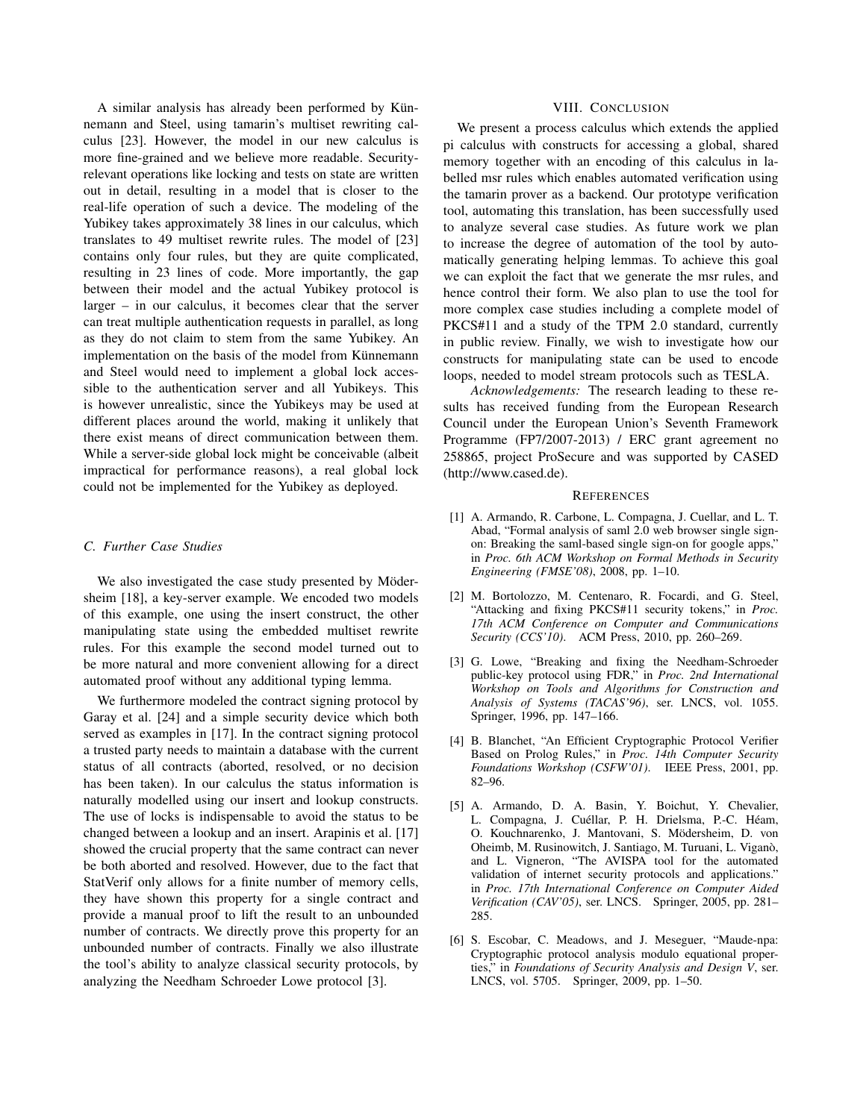A similar analysis has already been performed by Künnemann and Steel, using tamarin's multiset rewriting calculus [23]. However, the model in our new calculus is more fine-grained and we believe more readable. Securityrelevant operations like locking and tests on state are written out in detail, resulting in a model that is closer to the real-life operation of such a device. The modeling of the Yubikey takes approximately 38 lines in our calculus, which translates to 49 multiset rewrite rules. The model of [23] contains only four rules, but they are quite complicated, resulting in 23 lines of code. More importantly, the gap between their model and the actual Yubikey protocol is larger – in our calculus, it becomes clear that the server can treat multiple authentication requests in parallel, as long as they do not claim to stem from the same Yubikey. An implementation on the basis of the model from Künnemann and Steel would need to implement a global lock accessible to the authentication server and all Yubikeys. This is however unrealistic, since the Yubikeys may be used at different places around the world, making it unlikely that there exist means of direct communication between them. While a server-side global lock might be conceivable (albeit impractical for performance reasons), a real global lock could not be implemented for the Yubikey as deployed.

## *C. Further Case Studies*

We also investigated the case study presented by Mödersheim [18], a key-server example. We encoded two models of this example, one using the insert construct, the other manipulating state using the embedded multiset rewrite rules. For this example the second model turned out to be more natural and more convenient allowing for a direct automated proof without any additional typing lemma.

We furthermore modeled the contract signing protocol by Garay et al. [24] and a simple security device which both served as examples in [17]. In the contract signing protocol a trusted party needs to maintain a database with the current status of all contracts (aborted, resolved, or no decision has been taken). In our calculus the status information is naturally modelled using our insert and lookup constructs. The use of locks is indispensable to avoid the status to be changed between a lookup and an insert. Arapinis et al. [17] showed the crucial property that the same contract can never be both aborted and resolved. However, due to the fact that StatVerif only allows for a finite number of memory cells, they have shown this property for a single contract and provide a manual proof to lift the result to an unbounded number of contracts. We directly prove this property for an unbounded number of contracts. Finally we also illustrate the tool's ability to analyze classical security protocols, by analyzing the Needham Schroeder Lowe protocol [3].

# VIII. CONCLUSION

We present a process calculus which extends the applied pi calculus with constructs for accessing a global, shared memory together with an encoding of this calculus in labelled msr rules which enables automated verification using the tamarin prover as a backend. Our prototype verification tool, automating this translation, has been successfully used to analyze several case studies. As future work we plan to increase the degree of automation of the tool by automatically generating helping lemmas. To achieve this goal we can exploit the fact that we generate the msr rules, and hence control their form. We also plan to use the tool for more complex case studies including a complete model of PKCS#11 and a study of the TPM 2.0 standard, currently in public review. Finally, we wish to investigate how our constructs for manipulating state can be used to encode loops, needed to model stream protocols such as TESLA.

*Acknowledgements:* The research leading to these results has received funding from the European Research Council under the European Union's Seventh Framework Programme (FP7/2007-2013) / ERC grant agreement no 258865, project ProSecure and was supported by CASED (http://www.cased.de).

#### **REFERENCES**

- [1] A. Armando, R. Carbone, L. Compagna, J. Cuellar, and L. T. Abad, "Formal analysis of saml 2.0 web browser single signon: Breaking the saml-based single sign-on for google apps," in *Proc. 6th ACM Workshop on Formal Methods in Security Engineering (FMSE'08)*, 2008, pp. 1–10.
- [2] M. Bortolozzo, M. Centenaro, R. Focardi, and G. Steel, "Attacking and fixing PKCS#11 security tokens," in *Proc. 17th ACM Conference on Computer and Communications Security (CCS'10)*. ACM Press, 2010, pp. 260–269.
- [3] G. Lowe, "Breaking and fixing the Needham-Schroeder public-key protocol using FDR," in *Proc. 2nd International Workshop on Tools and Algorithms for Construction and Analysis of Systems (TACAS'96)*, ser. LNCS, vol. 1055. Springer, 1996, pp. 147–166.
- [4] B. Blanchet, "An Efficient Cryptographic Protocol Verifier Based on Prolog Rules," in *Proc. 14th Computer Security Foundations Workshop (CSFW'01)*. IEEE Press, 2001, pp. 82–96.
- [5] A. Armando, D. A. Basin, Y. Boichut, Y. Chevalier, L. Compagna, J. Cuéllar, P. H. Drielsma, P.-C. Héam, O. Kouchnarenko, J. Mantovani, S. Mödersheim, D. von Oheimb, M. Rusinowitch, J. Santiago, M. Turuani, L. Viganò, and L. Vigneron, "The AVISPA tool for the automated validation of internet security protocols and applications." in *Proc. 17th International Conference on Computer Aided Verification (CAV'05)*, ser. LNCS. Springer, 2005, pp. 281– 285.
- [6] S. Escobar, C. Meadows, and J. Meseguer, "Maude-npa: Cryptographic protocol analysis modulo equational properties," in *Foundations of Security Analysis and Design V*, ser. LNCS, vol. 5705. Springer, 2009, pp. 1–50.